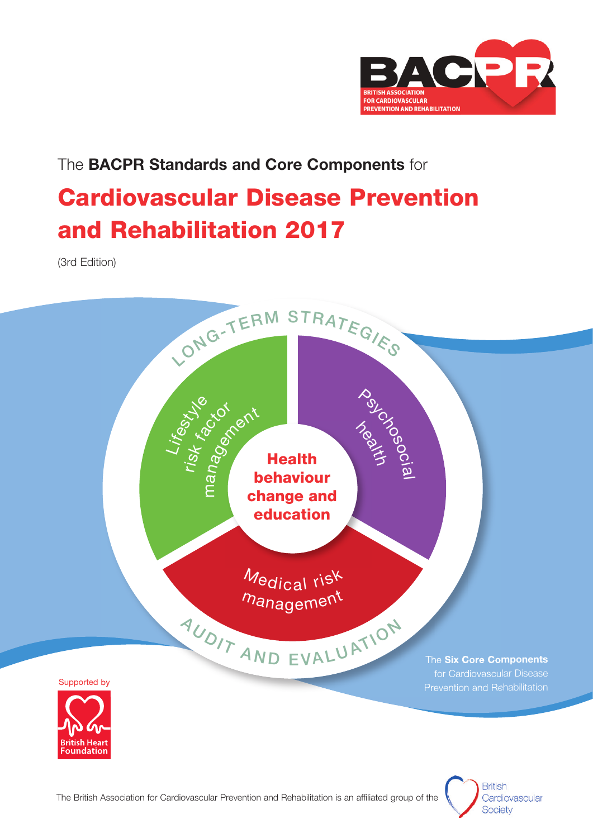

## The **BACPR Standards and Core Components** for

# Cardiovascular Disease Prevention and Rehabilitation 2017

(3rd Edition)



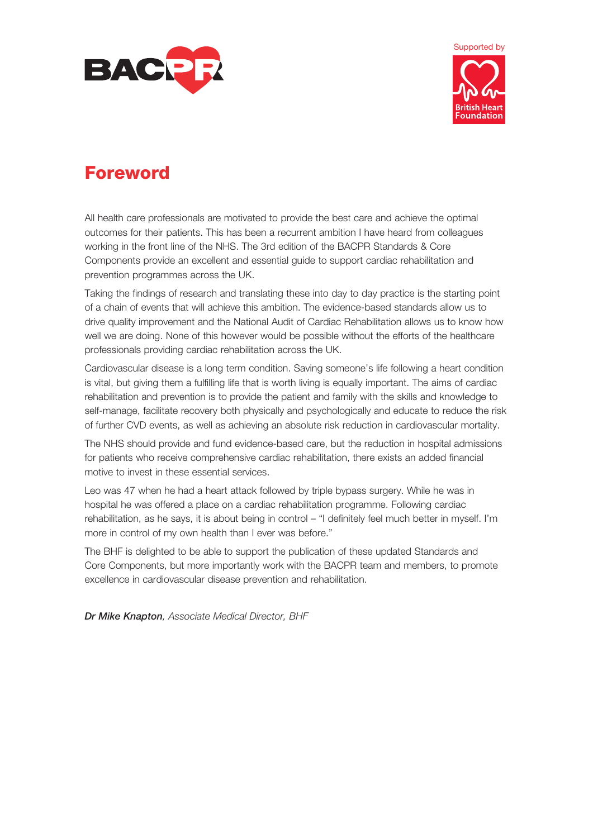



## Foreword

All health care professionals are motivated to provide the best care and achieve the optimal outcomes for their patients. This has been a recurrent ambition I have heard from colleagues working in the front line of the NHS. The 3rd edition of the BACPR Standards & Core Components provide an excellent and essential guide to support cardiac rehabilitation and prevention programmes across the UK.

Taking the findings of research and translating these into day to day practice is the starting point of a chain of events that will achieve this ambition. The evidence-based standards allow us to drive quality improvement and the National Audit of Cardiac Rehabilitation allows us to know how well we are doing. None of this however would be possible without the efforts of the healthcare professionals providing cardiac rehabilitation across the UK.

Cardiovascular disease is a long term condition. Saving someone's life following a heart condition is vital, but giving them a fulfilling life that is worth living is equally important. The aims of cardiac rehabilitation and prevention is to provide the patient and family with the skills and knowledge to self-manage, facilitate recovery both physically and psychologically and educate to reduce the risk of further CVD events, as well as achieving an absolute risk reduction in cardiovascular mortality.

The NHS should provide and fund evidence-based care, but the reduction in hospital admissions for patients who receive comprehensive cardiac rehabilitation, there exists an added financial motive to invest in these essential services.

Leo was 47 when he had a heart attack followed by triple bypass surgery. While he was in hospital he was offered a place on a cardiac rehabilitation programme. Following cardiac rehabilitation, as he says, it is about being in control – "I definitely feel much better in myself. I'm more in control of my own health than I ever was before."

The BHF is delighted to be able to support the publication of these updated Standards and Core Components, but more importantly work with the BACPR team and members, to promote excellence in cardiovascular disease prevention and rehabilitation.

*Dr Mike Knapton, Associate Medical Director, BHF*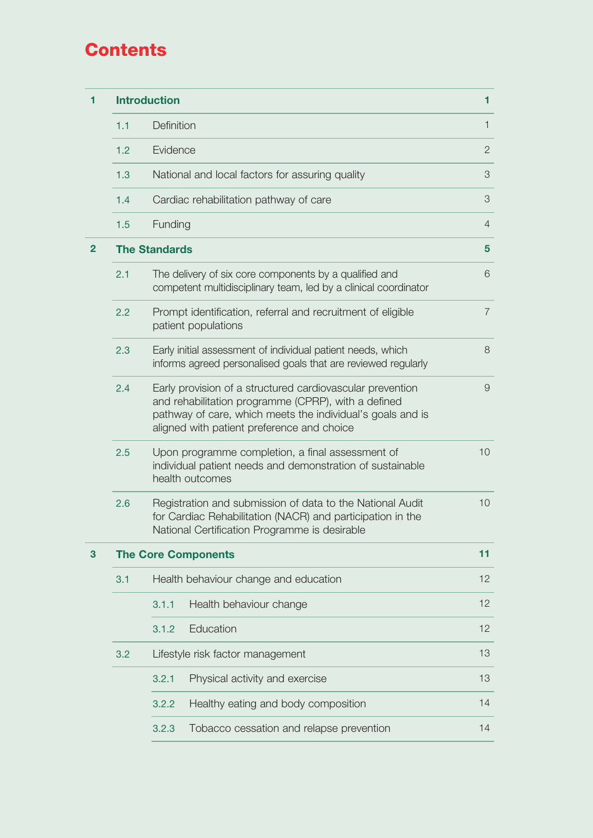## **Contents**

| 1                          | <b>Introduction</b>                                                                                                                                                                                                                 |                                                                                                                                                                          |                                                             |                           |
|----------------------------|-------------------------------------------------------------------------------------------------------------------------------------------------------------------------------------------------------------------------------------|--------------------------------------------------------------------------------------------------------------------------------------------------------------------------|-------------------------------------------------------------|---------------------------|
|                            | 1.1                                                                                                                                                                                                                                 | Definition                                                                                                                                                               |                                                             | $\mathbf{1}$              |
|                            | 1.2                                                                                                                                                                                                                                 | Evidence                                                                                                                                                                 |                                                             | $\mathbf{2}$              |
|                            | 1.3                                                                                                                                                                                                                                 |                                                                                                                                                                          | National and local factors for assuring quality             | 3                         |
|                            | 1.4                                                                                                                                                                                                                                 |                                                                                                                                                                          | Cardiac rehabilitation pathway of care                      | $\ensuremath{\mathsf{3}}$ |
|                            | 1.5                                                                                                                                                                                                                                 | Funding                                                                                                                                                                  |                                                             | $\overline{4}$            |
| $\overline{2}$             | <b>The Standards</b>                                                                                                                                                                                                                |                                                                                                                                                                          |                                                             | 5                         |
|                            | 2.1                                                                                                                                                                                                                                 | The delivery of six core components by a qualified and<br>competent multidisciplinary team, led by a clinical coordinator                                                |                                                             |                           |
| 2.2<br>patient populations |                                                                                                                                                                                                                                     |                                                                                                                                                                          | Prompt identification, referral and recruitment of eligible | $\overline{7}$            |
|                            | 2.3                                                                                                                                                                                                                                 | Early initial assessment of individual patient needs, which<br>informs agreed personalised goals that are reviewed regularly                                             |                                                             |                           |
|                            | Early provision of a structured cardiovascular prevention<br>2.4<br>and rehabilitation programme (CPRP), with a defined<br>pathway of care, which meets the individual's goals and is<br>aligned with patient preference and choice |                                                                                                                                                                          |                                                             |                           |
|                            | 2.5                                                                                                                                                                                                                                 | Upon programme completion, a final assessment of<br>individual patient needs and demonstration of sustainable<br>health outcomes                                         |                                                             |                           |
|                            | 2.6                                                                                                                                                                                                                                 | Registration and submission of data to the National Audit<br>for Cardiac Rehabilitation (NACR) and participation in the<br>National Certification Programme is desirable |                                                             | 10                        |
| 3                          | <b>The Core Components</b>                                                                                                                                                                                                          |                                                                                                                                                                          |                                                             | 11                        |
|                            | 3.1                                                                                                                                                                                                                                 |                                                                                                                                                                          | Health behaviour change and education                       | 12                        |
|                            |                                                                                                                                                                                                                                     | 3.1.1                                                                                                                                                                    | Health behaviour change                                     | 12                        |
|                            |                                                                                                                                                                                                                                     | 3.1.2                                                                                                                                                                    | Education                                                   | 12                        |
|                            | 3.2                                                                                                                                                                                                                                 | Lifestyle risk factor management                                                                                                                                         |                                                             | 13                        |
|                            |                                                                                                                                                                                                                                     | 3.2.1                                                                                                                                                                    | Physical activity and exercise                              | 13                        |
|                            |                                                                                                                                                                                                                                     | 3.2.2                                                                                                                                                                    | Healthy eating and body composition                         | 14                        |
|                            |                                                                                                                                                                                                                                     | 3.2.3                                                                                                                                                                    | Tobacco cessation and relapse prevention                    | 14                        |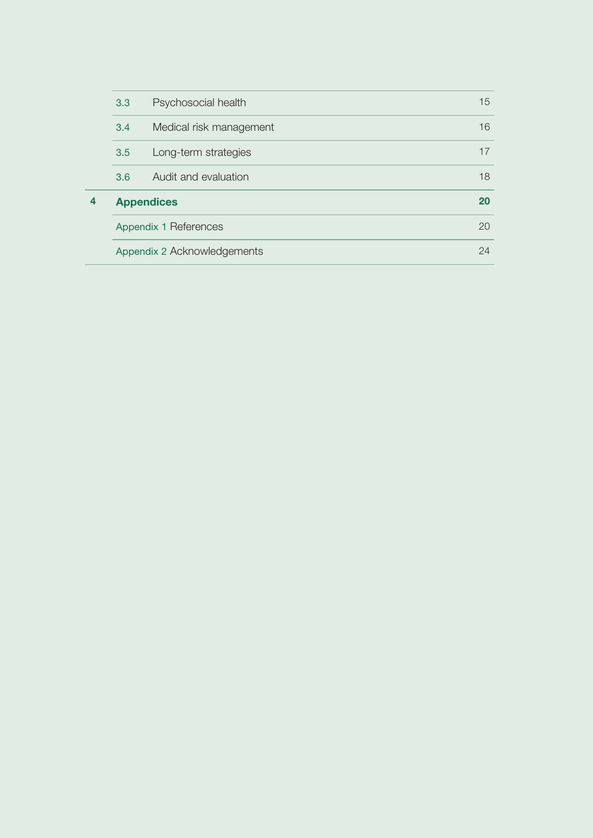|   | 3.3                         | Psychosocial health     |    |
|---|-----------------------------|-------------------------|----|
|   | 3.4                         | Medical risk management | 16 |
|   | 3.5                         | Long-term strategies    | 17 |
|   | 3.6                         | Audit and evaluation    | 18 |
| 4 | <b>Appendices</b>           |                         | 20 |
|   | Appendix 1 References       |                         | 20 |
|   | Appendix 2 Acknowledgements |                         | 24 |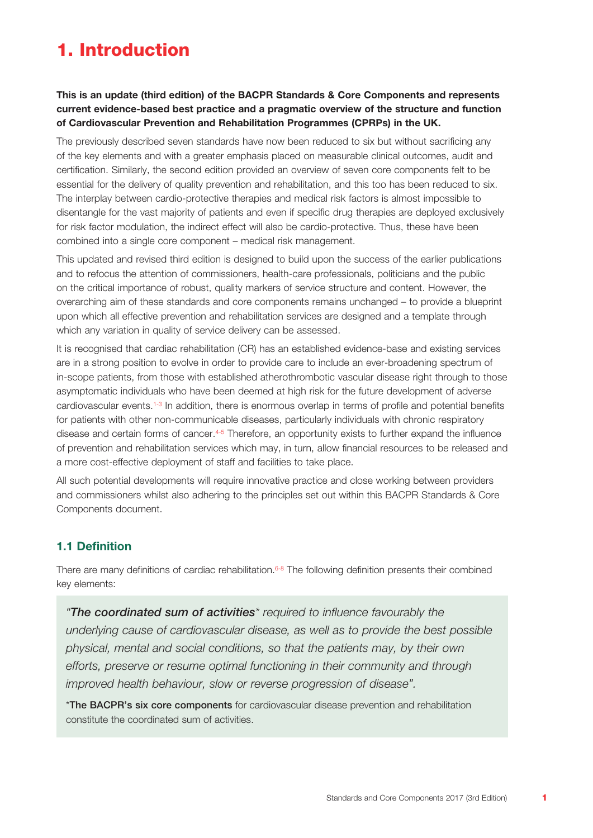## 1. Introduction

**This is an update (third edition) of the BACPR Standards & Core Components and represents current evidence-based best practice and a pragmatic overview of the structure and function of Cardiovascular Prevention and Rehabilitation Programmes (CPRPs) in the UK.** 

The previously described seven standards have now been reduced to six but without sacrificing any of the key elements and with a greater emphasis placed on measurable clinical outcomes, audit and certification. Similarly, the second edition provided an overview of seven core components felt to be essential for the delivery of quality prevention and rehabilitation, and this too has been reduced to six. The interplay between cardio-protective therapies and medical risk factors is almost impossible to disentangle for the vast majority of patients and even if specific drug therapies are deployed exclusively for risk factor modulation, the indirect effect will also be cardio-protective. Thus, these have been combined into a single core component – medical risk management.

This updated and revised third edition is designed to build upon the success of the earlier publications and to refocus the attention of commissioners, health-care professionals, politicians and the public on the critical importance of robust, quality markers of service structure and content. However, the overarching aim of these standards and core components remains unchanged – to provide a blueprint upon which all effective prevention and rehabilitation services are designed and a template through which any variation in quality of service delivery can be assessed.

It is recognised that cardiac rehabilitation (CR) has an established evidence-base and existing services are in a strong position to evolve in order to provide care to include an ever-broadening spectrum of in-scope patients, from those with established atherothrombotic vascular disease right through to those asymptomatic individuals who have been deemed at high risk for the future development of adverse cardiovascular events.1-3 In addition, there is enormous overlap in terms of profile and potential benefits for patients with other non-communicable diseases, particularly individuals with chronic respiratory disease and certain forms of cancer.4-5 Therefore, an opportunity exists to further expand the influence of prevention and rehabilitation services which may, in turn, allow financial resources to be released and a more cost-effective deployment of staff and facilities to take place.

All such potential developments will require innovative practice and close working between providers and commissioners whilst also adhering to the principles set out within this BACPR Standards & Core Components document.

## **1.1 Definition**

There are many definitions of cardiac rehabilitation. $6-8$  The following definition presents their combined key elements:

*"The coordinated sum of activities\* required to influence favourably the underlying cause of cardiovascular disease, as well as to provide the best possible physical, mental and social conditions, so that the patients may, by their own efforts, preserve or resume optimal functioning in their community and through improved health behaviour, slow or reverse progression of disease".*

\*The BACPR's six core components for cardiovascular disease prevention and rehabilitation constitute the coordinated sum of activities.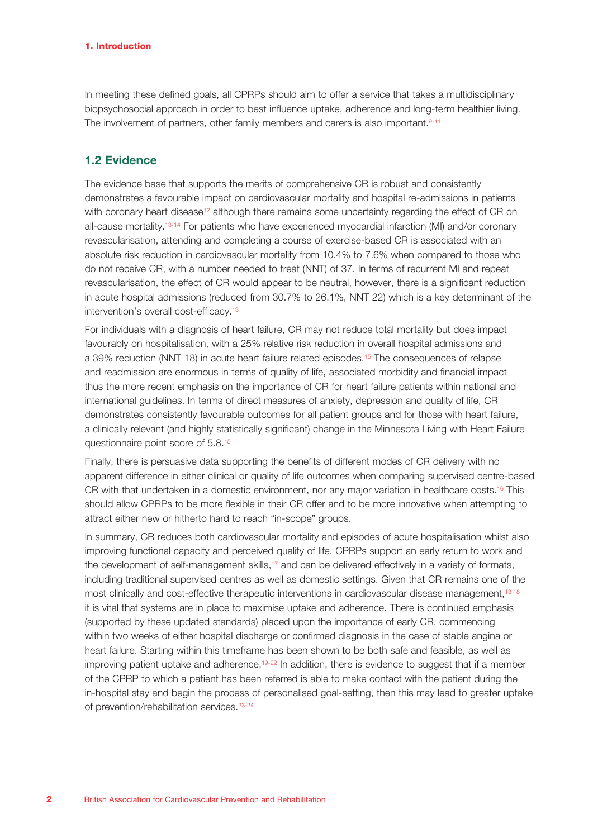In meeting these defined goals, all CPRPs should aim to offer a service that takes a multidisciplinary biopsychosocial approach in order to best influence uptake, adherence and long-term healthier living. The involvement of partners, other family members and carers is also important.9-11

### **1.2 Evidence**

The evidence base that supports the merits of comprehensive CR is robust and consistently demonstrates a favourable impact on cardiovascular mortality and hospital re-admissions in patients with coronary heart disease<sup>12</sup> although there remains some uncertainty regarding the effect of CR on all-cause mortality.<sup>13-14</sup> For patients who have experienced myocardial infarction (MI) and/or coronary revascularisation, attending and completing a course of exercise-based CR is associated with an absolute risk reduction in cardiovascular mortality from 10.4% to 7.6% when compared to those who do not receive CR, with a number needed to treat (NNT) of 37. In terms of recurrent MI and repeat revascularisation, the effect of CR would appear to be neutral, however, there is a significant reduction in acute hospital admissions (reduced from 30.7% to 26.1%, NNT 22) which is a key determinant of the intervention's overall cost-efficacy.13

For individuals with a diagnosis of heart failure, CR may not reduce total mortality but does impact favourably on hospitalisation, with a 25% relative risk reduction in overall hospital admissions and a 39% reduction (NNT 18) in acute heart failure related episodes.<sup>15</sup> The consequences of relapse and readmission are enormous in terms of quality of life, associated morbidity and financial impact thus the more recent emphasis on the importance of CR for heart failure patients within national and international guidelines. In terms of direct measures of anxiety, depression and quality of life, CR demonstrates consistently favourable outcomes for all patient groups and for those with heart failure, a clinically relevant (and highly statistically significant) change in the Minnesota Living with Heart Failure questionnaire point score of 5.8.15

Finally, there is persuasive data supporting the benefits of different modes of CR delivery with no apparent difference in either clinical or quality of life outcomes when comparing supervised centre-based CR with that undertaken in a domestic environment, nor any major variation in healthcare costs.<sup>16</sup> This should allow CPRPs to be more flexible in their CR offer and to be more innovative when attempting to attract either new or hitherto hard to reach "in-scope" groups.

In summary, CR reduces both cardiovascular mortality and episodes of acute hospitalisation whilst also improving functional capacity and perceived quality of life. CPRPs support an early return to work and the development of self-management skills,<sup>17</sup> and can be delivered effectively in a variety of formats, including traditional supervised centres as well as domestic settings. Given that CR remains one of the most clinically and cost-effective therapeutic interventions in cardiovascular disease management,<sup>13 18</sup> it is vital that systems are in place to maximise uptake and adherence. There is continued emphasis (supported by these updated standards) placed upon the importance of early CR, commencing within two weeks of either hospital discharge or confirmed diagnosis in the case of stable angina or heart failure. Starting within this timeframe has been shown to be both safe and feasible, as well as improving patient uptake and adherence.<sup>19-22</sup> In addition, there is evidence to suggest that if a member of the CPRP to which a patient has been referred is able to make contact with the patient during the in-hospital stay and begin the process of personalised goal-setting, then this may lead to greater uptake of prevention/rehabilitation services.23-24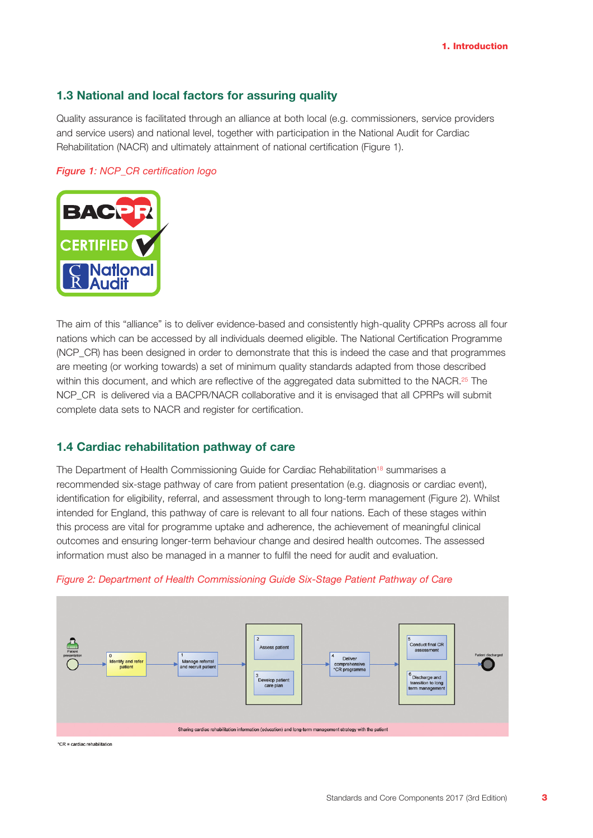### **1.3 National and local factors for assuring quality**

Quality assurance is facilitated through an alliance at both local (e.g. commissioners, service providers and service users) and national level, together with participation in the National Audit for Cardiac Rehabilitation (NACR) and ultimately attainment of national certification (Figure 1).

#### *Figure 1: NCP\_CR certification logo*



The aim of this "alliance" is to deliver evidence-based and consistently high-quality CPRPs across all four nations which can be accessed by all individuals deemed eligible. The National Certification Programme (NCP\_CR) has been designed in order to demonstrate that this is indeed the case and that programmes are meeting (or working towards) a set of minimum quality standards adapted from those described within this document, and which are reflective of the aggregated data submitted to the NACR.<sup>25</sup> The NCP\_CR is delivered via a BACPR/NACR collaborative and it is envisaged that all CPRPs will submit complete data sets to NACR and register for certification.

#### **1.4 Cardiac rehabilitation pathway of care**

The Department of Health Commissioning Guide for Cardiac Rehabilitation<sup>18</sup> summarises a recommended six-stage pathway of care from patient presentation (e.g. diagnosis or cardiac event), identification for eligibility, referral, and assessment through to long-term management (Figure 2). Whilst intended for England, this pathway of care is relevant to all four nations. Each of these stages within this process are vital for programme uptake and adherence, the achievement of meaningful clinical outcomes and ensuring longer-term behaviour change and desired health outcomes. The assessed information must also be managed in a manner to fulfil the need for audit and evaluation.



#### *Figure 2: Department of Health Commissioning Guide Six-Stage Patient Pathway of Care*

\*CR = cardiac rehabilitation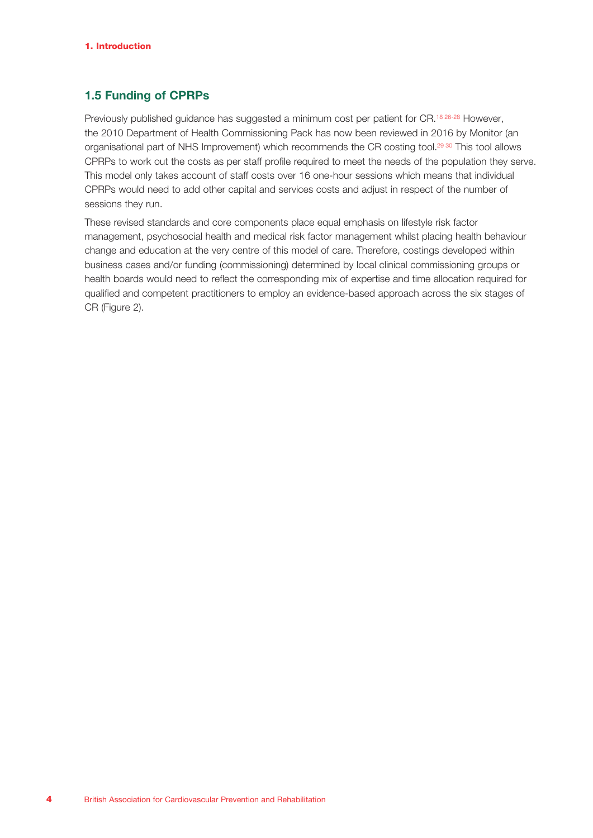## **1.5 Funding of CPRPs**

Previously published guidance has suggested a minimum cost per patient for CR.<sup>18 26-28</sup> However, the 2010 Department of Health Commissioning Pack has now been reviewed in 2016 by Monitor (an organisational part of NHS Improvement) which recommends the CR costing tool.<sup>29 30</sup> This tool allows CPRPs to work out the costs as per staff profile required to meet the needs of the population they serve. This model only takes account of staff costs over 16 one-hour sessions which means that individual CPRPs would need to add other capital and services costs and adjust in respect of the number of sessions they run.

These revised standards and core components place equal emphasis on lifestyle risk factor management, psychosocial health and medical risk factor management whilst placing health behaviour change and education at the very centre of this model of care. Therefore, costings developed within business cases and/or funding (commissioning) determined by local clinical commissioning groups or health boards would need to reflect the corresponding mix of expertise and time allocation required for qualified and competent practitioners to employ an evidence-based approach across the six stages of CR (Figure 2).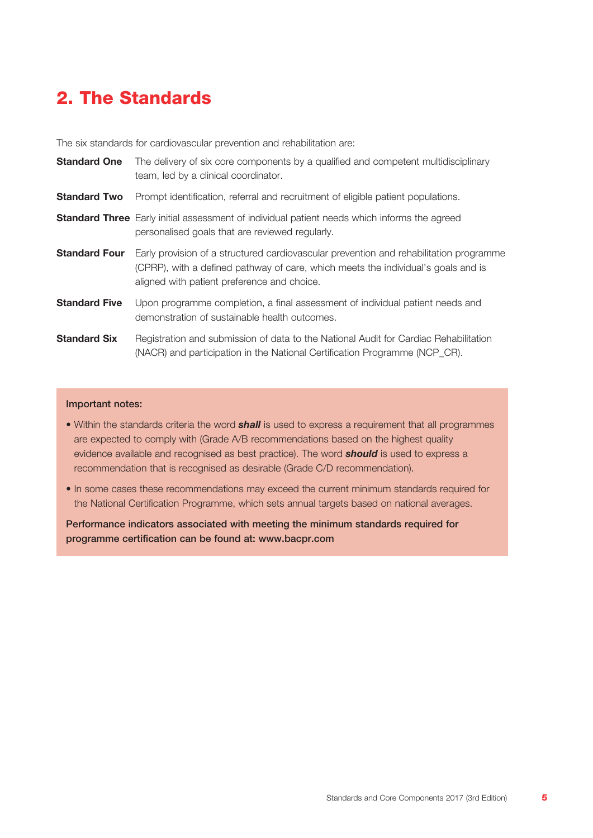## 2. The Standards

The six standards for cardiovascular prevention and rehabilitation are:

|                      | <b>Standard One</b> The delivery of six core components by a qualified and competent multidisciplinary<br>team, led by a clinical coordinator.                                                                                                  |
|----------------------|-------------------------------------------------------------------------------------------------------------------------------------------------------------------------------------------------------------------------------------------------|
|                      | <b>Standard Two</b> Prompt identification, referral and recruitment of eligible patient populations.                                                                                                                                            |
|                      | <b>Standard Three</b> Early initial assessment of individual patient needs which informs the agreed<br>personalised goals that are reviewed regularly.                                                                                          |
|                      | <b>Standard Four</b> Early provision of a structured cardiovascular prevention and rehabilitation programme<br>(CPRP), with a defined pathway of care, which meets the individual's goals and is<br>aligned with patient preference and choice. |
| <b>Standard Five</b> | Upon programme completion, a final assessment of individual patient needs and<br>demonstration of sustainable health outcomes.                                                                                                                  |
| <b>Standard Six</b>  | Registration and submission of data to the National Audit for Cardiac Rehabilitation<br>(NACR) and participation in the National Certification Programme (NCP CR).                                                                              |

#### Important notes:

- Within the standards criteria the word *shall* is used to express a requirement that all programmes are expected to comply with (Grade A/B recommendations based on the highest quality evidence available and recognised as best practice). The word *should* is used to express a recommendation that is recognised as desirable (Grade C/D recommendation).
- In some cases these recommendations may exceed the current minimum standards required for the National Certification Programme, which sets annual targets based on national averages.

Performance indicators associated with meeting the minimum standards required for programme certification can be found at: www.bacpr.com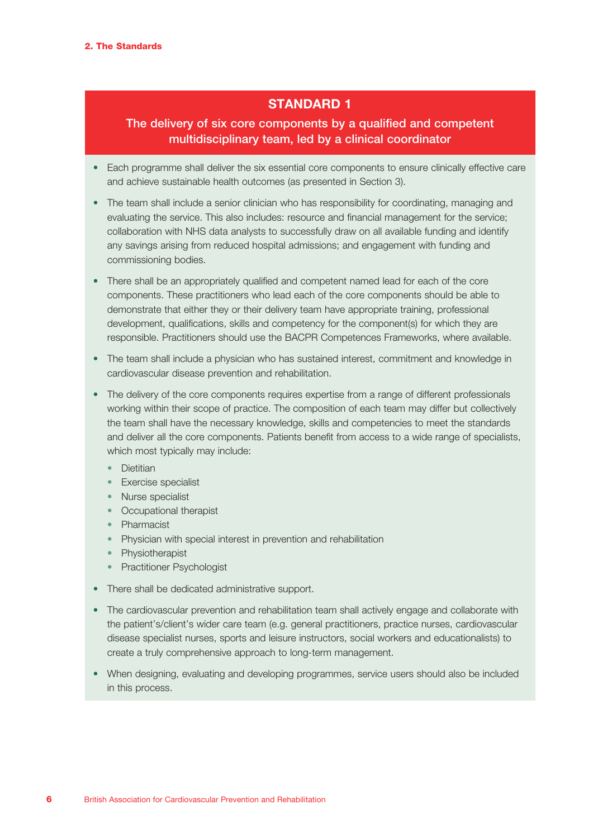## The delivery of six core components by a qualified and competent multidisciplinary team, led by a clinical coordinator

- Each programme shall deliver the six essential core components to ensure clinically effective care and achieve sustainable health outcomes (as presented in Section 3).
- The team shall include a senior clinician who has responsibility for coordinating, managing and evaluating the service. This also includes: resource and financial management for the service; collaboration with NHS data analysts to successfully draw on all available funding and identify any savings arising from reduced hospital admissions; and engagement with funding and commissioning bodies.
- There shall be an appropriately qualified and competent named lead for each of the core components. These practitioners who lead each of the core components should be able to demonstrate that either they or their delivery team have appropriate training, professional development, qualifications, skills and competency for the component(s) for which they are responsible. Practitioners should use the BACPR Competences Frameworks, where available.
- The team shall include a physician who has sustained interest, commitment and knowledge in cardiovascular disease prevention and rehabilitation.
- The delivery of the core components requires expertise from a range of different professionals working within their scope of practice. The composition of each team may differ but collectively the team shall have the necessary knowledge, skills and competencies to meet the standards and deliver all the core components. Patients benefit from access to a wide range of specialists, which most typically may include:
	- Dietitian
	- Exercise specialist
	- Nurse specialist
	- Occupational therapist
	- Pharmacist
	- Physician with special interest in prevention and rehabilitation
	- Physiotherapist
	- Practitioner Psychologist
- There shall be dedicated administrative support.
- The cardiovascular prevention and rehabilitation team shall actively engage and collaborate with the patient's/client's wider care team (e.g. general practitioners, practice nurses, cardiovascular disease specialist nurses, sports and leisure instructors, social workers and educationalists) to create a truly comprehensive approach to long-term management.
- When designing, evaluating and developing programmes, service users should also be included in this process.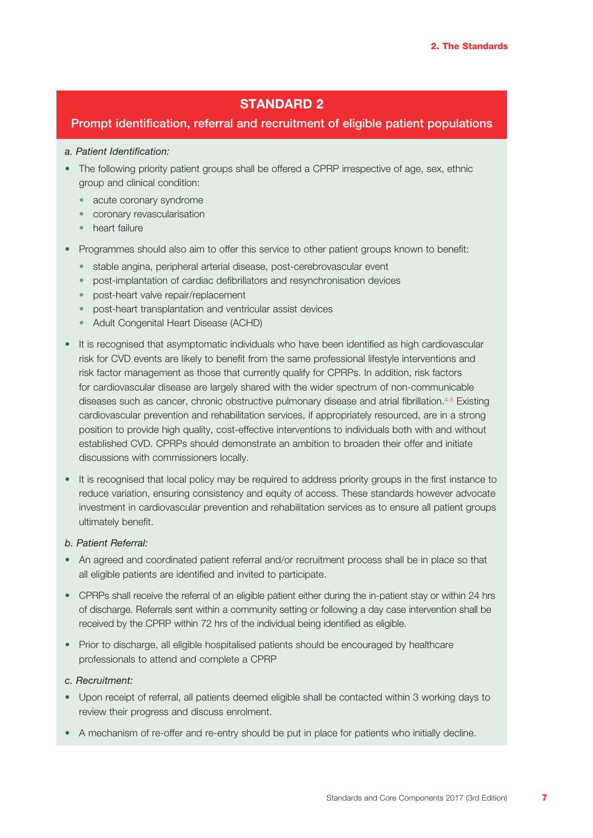### Prompt identification, referral and recruitment of eligible patient populations

#### *a. Patient Identification:*

- The following priority patient groups shall be offered a CPRP irrespective of age, sex, ethnic group and clinical condition:
	- acute coronary syndrome
	- coronary revascularisation
	- heart failure
- Programmes should also aim to offer this service to other patient groups known to benefit:
	- stable angina, peripheral arterial disease, post-cerebrovascular event
	- post-implantation of cardiac defibrillators and resynchronisation devices
	- post-heart valve repair/replacement
	- post-heart transplantation and ventricular assist devices
	- Adult Congenital Heart Disease (ACHD)
- It is recognised that asymptomatic individuals who have been identified as high cardiovascular risk for CVD events are likely to benefit from the same professional lifestyle interventions and risk factor management as those that currently qualify for CPRPs. In addition, risk factors for cardiovascular disease are largely shared with the wider spectrum of non-communicable diseases such as cancer, chronic obstructive pulmonary disease and atrial fibrillation.4-5 Existing cardiovascular prevention and rehabilitation services, if appropriately resourced, are in a strong position to provide high quality, cost-effective interventions to individuals both with and without established CVD. CPRPs should demonstrate an ambition to broaden their offer and initiate discussions with commissioners locally.
- It is recognised that local policy may be required to address priority groups in the first instance to reduce variation, ensuring consistency and equity of access. These standards however advocate investment in cardiovascular prevention and rehabilitation services as to ensure all patient groups ultimately benefit.

#### *b. Patient Referral:*

- An agreed and coordinated patient referral and/or recruitment process shall be in place so that all eligible patients are identified and invited to participate.
- CPRPs shall receive the referral of an eligible patient either during the in-patient stay or within 24 hrs of discharge. Referrals sent within a community setting or following a day case intervention shall be received by the CPRP within 72 hrs of the individual being identified as eligible.
- Prior to discharge, all eligible hospitalised patients should be encouraged by healthcare professionals to attend and complete a CPRP

#### *c. Recruitment:*

- Upon receipt of referral, all patients deemed eligible shall be contacted within 3 working days to review their progress and discuss enrolment.
- A mechanism of re-offer and re-entry should be put in place for patients who initially decline.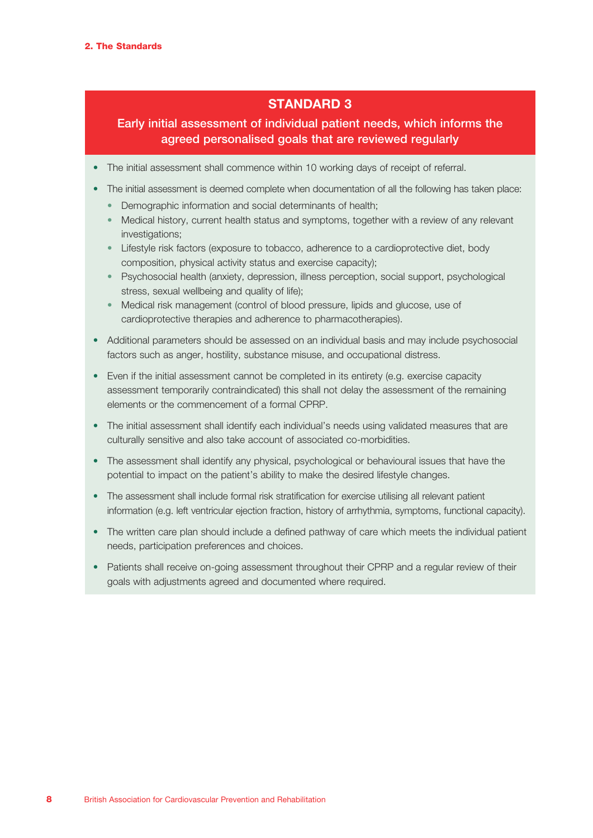## Early initial assessment of individual patient needs, which informs the agreed personalised goals that are reviewed regularly

- The initial assessment shall commence within 10 working days of receipt of referral.
- The initial assessment is deemed complete when documentation of all the following has taken place:
	- Demographic information and social determinants of health;
	- Medical history, current health status and symptoms, together with a review of any relevant investigations;
	- Lifestyle risk factors (exposure to tobacco, adherence to a cardioprotective diet, body composition, physical activity status and exercise capacity);
	- Psychosocial health (anxiety, depression, illness perception, social support, psychological stress, sexual wellbeing and quality of life);
	- Medical risk management (control of blood pressure, lipids and glucose, use of cardioprotective therapies and adherence to pharmacotherapies).
- Additional parameters should be assessed on an individual basis and may include psychosocial factors such as anger, hostility, substance misuse, and occupational distress.
- Even if the initial assessment cannot be completed in its entirety (e.g. exercise capacity assessment temporarily contraindicated) this shall not delay the assessment of the remaining elements or the commencement of a formal CPRP.
- The initial assessment shall identify each individual's needs using validated measures that are culturally sensitive and also take account of associated co-morbidities.
- The assessment shall identify any physical, psychological or behavioural issues that have the potential to impact on the patient's ability to make the desired lifestyle changes.
- The assessment shall include formal risk stratification for exercise utilising all relevant patient information (e.g. left ventricular ejection fraction, history of arrhythmia, symptoms, functional capacity).
- The written care plan should include a defined pathway of care which meets the individual patient needs, participation preferences and choices.
- Patients shall receive on-going assessment throughout their CPRP and a regular review of their goals with adjustments agreed and documented where required.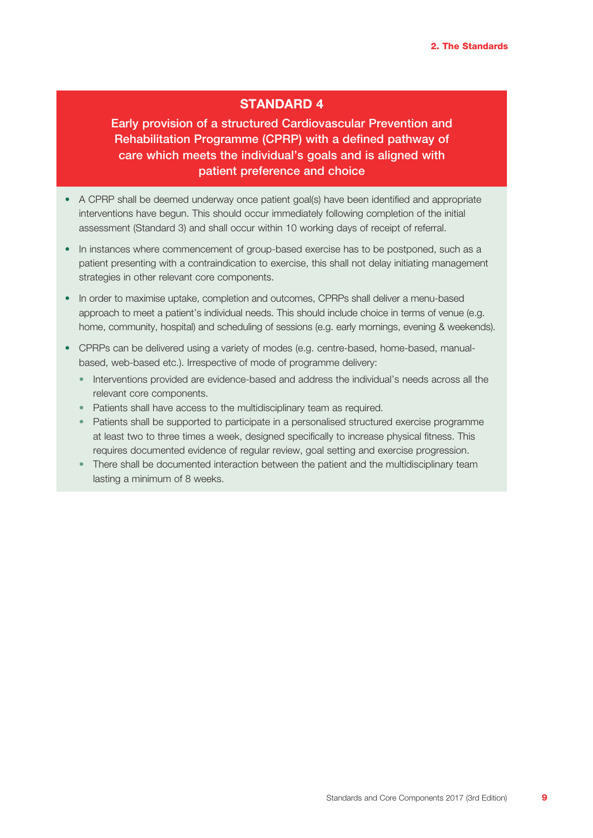Early provision of a structured Cardiovascular Prevention and Rehabilitation Programme (CPRP) with a defined pathway of care which meets the individual's goals and is aligned with patient preference and choice

- A CPRP shall be deemed underway once patient goal(s) have been identified and appropriate interventions have begun. This should occur immediately following completion of the initial assessment (Standard 3) and shall occur within 10 working days of receipt of referral.
- In instances where commencement of group-based exercise has to be postponed, such as a patient presenting with a contraindication to exercise, this shall not delay initiating management strategies in other relevant core components.
- In order to maximise uptake, completion and outcomes, CPRPs shall deliver a menu-based approach to meet a patient's individual needs. This should include choice in terms of venue (e.g. home, community, hospital) and scheduling of sessions (e.g. early mornings, evening & weekends).
- CPRPs can be delivered using a variety of modes (e.g. centre-based, home-based, manualbased, web-based etc.). Irrespective of mode of programme delivery:
	- Interventions provided are evidence-based and address the individual's needs across all the relevant core components.
	- Patients shall have access to the multidisciplinary team as required.
	- Patients shall be supported to participate in a personalised structured exercise programme at least two to three times a week, designed specifically to increase physical fitness. This requires documented evidence of regular review, goal setting and exercise progression.
	- There shall be documented interaction between the patient and the multidisciplinary team lasting a minimum of 8 weeks.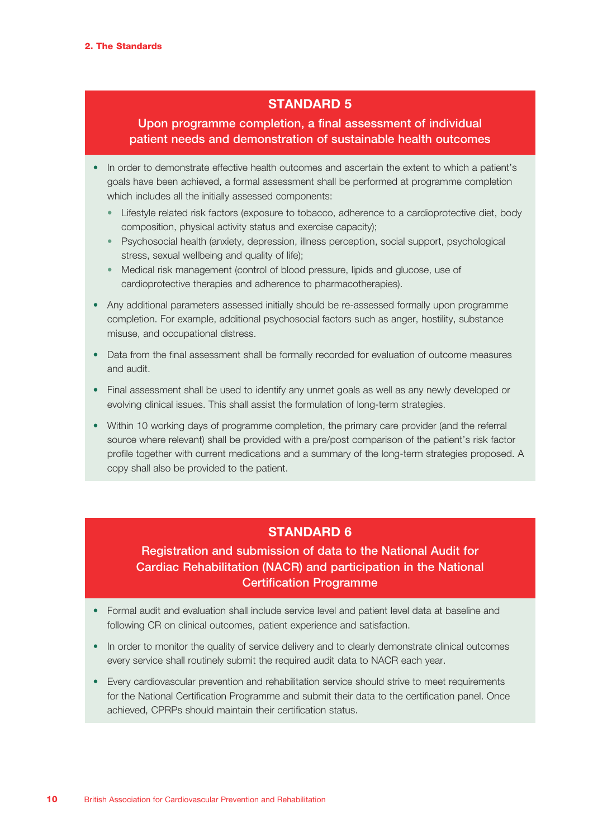## Upon programme completion, a final assessment of individual patient needs and demonstration of sustainable health outcomes

- In order to demonstrate effective health outcomes and ascertain the extent to which a patient's goals have been achieved, a formal assessment shall be performed at programme completion which includes all the initially assessed components:
	- Lifestyle related risk factors (exposure to tobacco, adherence to a cardioprotective diet, body composition, physical activity status and exercise capacity);
	- Psychosocial health (anxiety, depression, illness perception, social support, psychological stress, sexual wellbeing and quality of life);
	- Medical risk management (control of blood pressure, lipids and glucose, use of cardioprotective therapies and adherence to pharmacotherapies).
- Any additional parameters assessed initially should be re-assessed formally upon programme completion. For example, additional psychosocial factors such as anger, hostility, substance misuse, and occupational distress.
- Data from the final assessment shall be formally recorded for evaluation of outcome measures and audit.
- Final assessment shall be used to identify any unmet goals as well as any newly developed or evolving clinical issues. This shall assist the formulation of long-term strategies.
- Within 10 working days of programme completion, the primary care provider (and the referral source where relevant) shall be provided with a pre/post comparison of the patient's risk factor profile together with current medications and a summary of the long-term strategies proposed. A copy shall also be provided to the patient.

## **STANDARD 6**

## Registration and submission of data to the National Audit for Cardiac Rehabilitation (NACR) and participation in the National Certification Programme

- Formal audit and evaluation shall include service level and patient level data at baseline and following CR on clinical outcomes, patient experience and satisfaction.
- In order to monitor the quality of service delivery and to clearly demonstrate clinical outcomes every service shall routinely submit the required audit data to NACR each year.
- Every cardiovascular prevention and rehabilitation service should strive to meet requirements for the National Certification Programme and submit their data to the certification panel. Once achieved, CPRPs should maintain their certification status.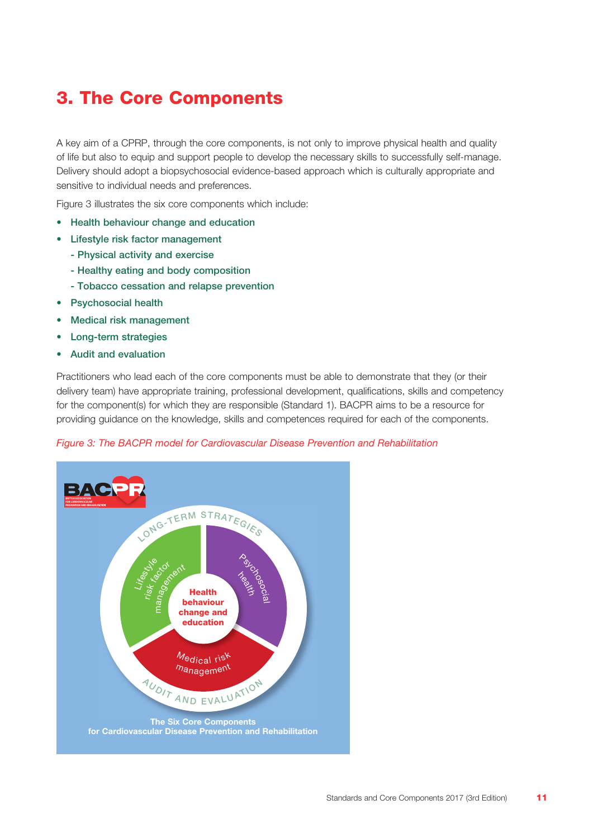## 3. The Core Components

A key aim of a CPRP, through the core components, is not only to improve physical health and quality of life but also to equip and support people to develop the necessary skills to successfully self-manage. Delivery should adopt a biopsychosocial evidence-based approach which is culturally appropriate and sensitive to individual needs and preferences.

Figure 3 illustrates the six core components which include:

- Health behaviour change and education
- Lifestyle risk factor management
	- Physical activity and exercise
	- Healthy eating and body composition
	- Tobacco cessation and relapse prevention
- Psychosocial health
- Medical risk management
- Long-term strategies
- Audit and evaluation

Practitioners who lead each of the core components must be able to demonstrate that they (or their delivery team) have appropriate training, professional development, qualifications, skills and competency for the component(s) for which they are responsible (Standard 1). BACPR aims to be a resource for providing guidance on the knowledge, skills and competences required for each of the components.



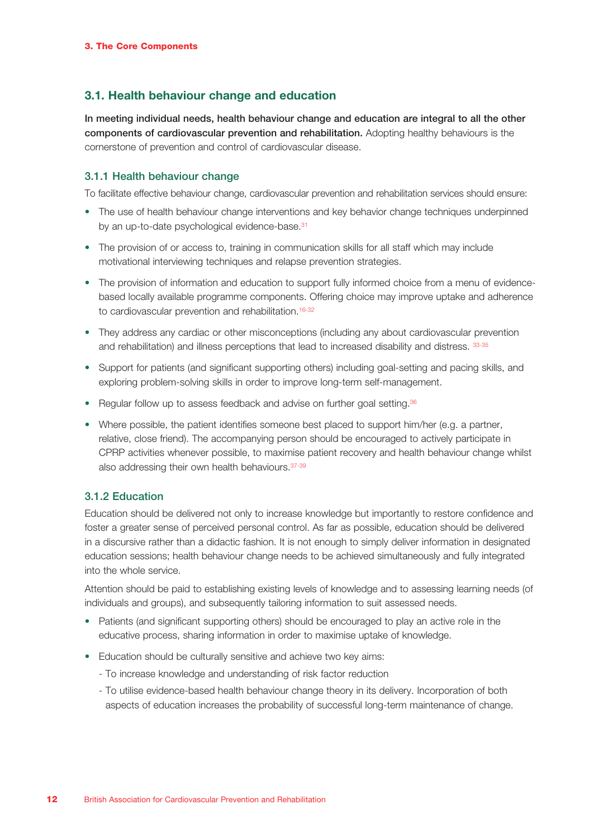## **3.1. Health behaviour change and education**

In meeting individual needs, health behaviour change and education are integral to all the other components of cardiovascular prevention and rehabilitation. Adopting healthy behaviours is the cornerstone of prevention and control of cardiovascular disease.

#### 3.1.1 Health behaviour change

To facilitate effective behaviour change, cardiovascular prevention and rehabilitation services should ensure:

- The use of health behaviour change interventions and key behavior change techniques underpinned by an up-to-date psychological evidence-base.<sup>31</sup>
- The provision of or access to, training in communication skills for all staff which may include motivational interviewing techniques and relapse prevention strategies.
- The provision of information and education to support fully informed choice from a menu of evidencebased locally available programme components. Offering choice may improve uptake and adherence to cardiovascular prevention and rehabilitation.<sup>16-32</sup>
- They address any cardiac or other misconceptions (including any about cardiovascular prevention and rehabilitation) and illness perceptions that lead to increased disability and distress. 33-35
- Support for patients (and significant supporting others) including goal-setting and pacing skills, and exploring problem-solving skills in order to improve long-term self-management.
- Regular follow up to assess feedback and advise on further goal setting.<sup>36</sup>
- Where possible, the patient identifies someone best placed to support him/her (e.g. a partner, relative, close friend). The accompanying person should be encouraged to actively participate in CPRP activities whenever possible, to maximise patient recovery and health behaviour change whilst also addressing their own health behaviours.37-39

### 3.1.2 Education

Education should be delivered not only to increase knowledge but importantly to restore confidence and foster a greater sense of perceived personal control. As far as possible, education should be delivered in a discursive rather than a didactic fashion. It is not enough to simply deliver information in designated education sessions; health behaviour change needs to be achieved simultaneously and fully integrated into the whole service.

Attention should be paid to establishing existing levels of knowledge and to assessing learning needs (of individuals and groups), and subsequently tailoring information to suit assessed needs.

- Patients (and significant supporting others) should be encouraged to play an active role in the educative process, sharing information in order to maximise uptake of knowledge.
- Education should be culturally sensitive and achieve two key aims:
	- To increase knowledge and understanding of risk factor reduction
	- To utilise evidence-based health behaviour change theory in its delivery. Incorporation of both aspects of education increases the probability of successful long-term maintenance of change.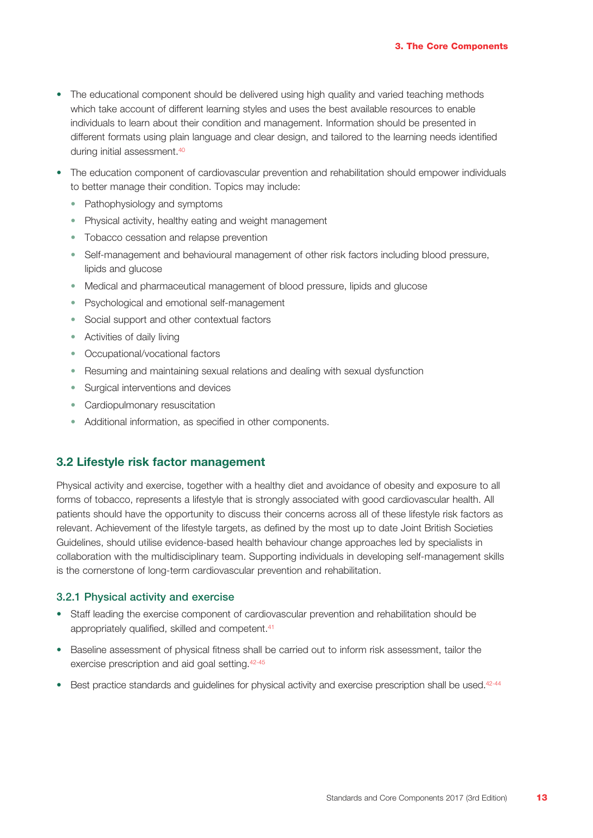- The educational component should be delivered using high quality and varied teaching methods which take account of different learning styles and uses the best available resources to enable individuals to learn about their condition and management. Information should be presented in different formats using plain language and clear design, and tailored to the learning needs identified during initial assessment.40
- The education component of cardiovascular prevention and rehabilitation should empower individuals to better manage their condition. Topics may include:
	- Pathophysiology and symptoms
	- Physical activity, healthy eating and weight management
	- Tobacco cessation and relapse prevention
	- Self-management and behavioural management of other risk factors including blood pressure, lipids and glucose
	- Medical and pharmaceutical management of blood pressure, lipids and glucose
	- Psychological and emotional self-management
	- Social support and other contextual factors
	- Activities of daily living
	- Occupational/vocational factors
	- Resuming and maintaining sexual relations and dealing with sexual dysfunction
	- Surgical interventions and devices
	- Cardiopulmonary resuscitation
	- Additional information, as specified in other components.

### **3.2 Lifestyle risk factor management**

Physical activity and exercise, together with a healthy diet and avoidance of obesity and exposure to all forms of tobacco, represents a lifestyle that is strongly associated with good cardiovascular health. All patients should have the opportunity to discuss their concerns across all of these lifestyle risk factors as relevant. Achievement of the lifestyle targets, as defined by the most up to date Joint British Societies Guidelines, should utilise evidence-based health behaviour change approaches led by specialists in collaboration with the multidisciplinary team. Supporting individuals in developing self-management skills is the cornerstone of long-term cardiovascular prevention and rehabilitation.

#### 3.2.1 Physical activity and exercise

- Staff leading the exercise component of cardiovascular prevention and rehabilitation should be appropriately qualified, skilled and competent.<sup>41</sup>
- Baseline assessment of physical fitness shall be carried out to inform risk assessment, tailor the exercise prescription and aid goal setting.42-45
- Best practice standards and guidelines for physical activity and exercise prescription shall be used.<sup>42-44</sup>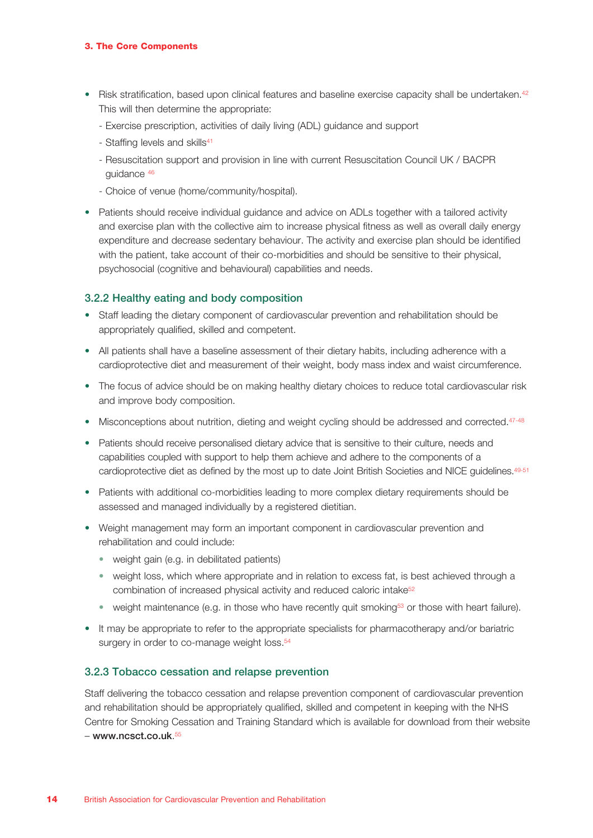#### 3. The Core Components

- Risk stratification, based upon clinical features and baseline exercise capacity shall be undertaken.<sup>42</sup> This will then determine the appropriate:
	- Exercise prescription, activities of daily living (ADL) guidance and support
	- Staffing levels and skills<sup>41</sup>
	- Resuscitation support and provision in line with current Resuscitation Council UK / BACPR guidance 46
	- Choice of venue (home/community/hospital).
- Patients should receive individual guidance and advice on ADLs together with a tailored activity and exercise plan with the collective aim to increase physical fitness as well as overall daily energy expenditure and decrease sedentary behaviour. The activity and exercise plan should be identified with the patient, take account of their co-morbidities and should be sensitive to their physical, psychosocial (cognitive and behavioural) capabilities and needs.

#### 3.2.2 Healthy eating and body composition

- Staff leading the dietary component of cardiovascular prevention and rehabilitation should be appropriately qualified, skilled and competent.
- All patients shall have a baseline assessment of their dietary habits, including adherence with a cardioprotective diet and measurement of their weight, body mass index and waist circumference.
- The focus of advice should be on making healthy dietary choices to reduce total cardiovascular risk and improve body composition.
- Misconceptions about nutrition, dieting and weight cycling should be addressed and corrected.<sup>47-48</sup>
- Patients should receive personalised dietary advice that is sensitive to their culture, needs and capabilities coupled with support to help them achieve and adhere to the components of a cardioprotective diet as defined by the most up to date Joint British Societies and NICE guidelines.49-51
- Patients with additional co-morbidities leading to more complex dietary requirements should be assessed and managed individually by a registered dietitian.
- Weight management may form an important component in cardiovascular prevention and rehabilitation and could include:
	- weight gain (e.g. in debilitated patients)
	- weight loss, which where appropriate and in relation to excess fat, is best achieved through a combination of increased physical activity and reduced caloric intake<sup>52</sup>
	- weight maintenance (e.g. in those who have recently quit smoking<sup>53</sup> or those with heart failure).
- It may be appropriate to refer to the appropriate specialists for pharmacotherapy and/or bariatric surgery in order to co-manage weight loss.<sup>54</sup>

#### 3.2.3 Tobacco cessation and relapse prevention

Staff delivering the tobacco cessation and relapse prevention component of cardiovascular prevention and rehabilitation should be appropriately qualified, skilled and competent in keeping with the NHS Centre for Smoking Cessation and Training Standard which is available for download from their website  $-$  www.ncsct.co.uk  $55$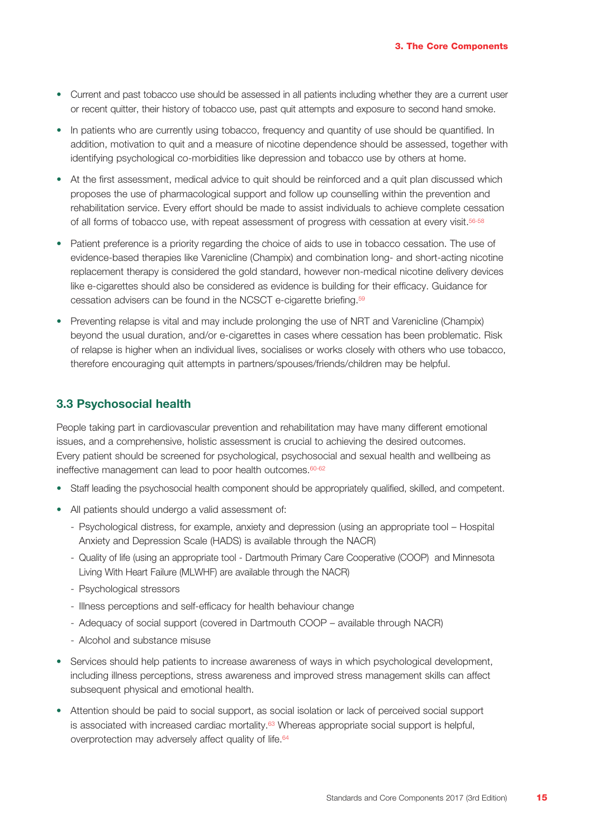- Current and past tobacco use should be assessed in all patients including whether they are a current user or recent quitter, their history of tobacco use, past quit attempts and exposure to second hand smoke.
- In patients who are currently using tobacco, frequency and quantity of use should be quantified. In addition, motivation to quit and a measure of nicotine dependence should be assessed, together with identifying psychological co-morbidities like depression and tobacco use by others at home.
- At the first assessment, medical advice to quit should be reinforced and a quit plan discussed which proposes the use of pharmacological support and follow up counselling within the prevention and rehabilitation service. Every effort should be made to assist individuals to achieve complete cessation of all forms of tobacco use, with repeat assessment of progress with cessation at every visit.<sup>56-58</sup>
- Patient preference is a priority regarding the choice of aids to use in tobacco cessation. The use of evidence-based therapies like Varenicline (Champix) and combination long- and short-acting nicotine replacement therapy is considered the gold standard, however non-medical nicotine delivery devices like e-cigarettes should also be considered as evidence is building for their efficacy. Guidance for cessation advisers can be found in the NCSCT e-cigarette briefing.59
- Preventing relapse is vital and may include prolonging the use of NRT and Varenicline (Champix) beyond the usual duration, and/or e-cigarettes in cases where cessation has been problematic. Risk of relapse is higher when an individual lives, socialises or works closely with others who use tobacco, therefore encouraging quit attempts in partners/spouses/friends/children may be helpful.

### **3.3 Psychosocial health**

People taking part in cardiovascular prevention and rehabilitation may have many different emotional issues, and a comprehensive, holistic assessment is crucial to achieving the desired outcomes. Every patient should be screened for psychological, psychosocial and sexual health and wellbeing as ineffective management can lead to poor health outcomes.<sup>60-62</sup>

- Staff leading the psychosocial health component should be appropriately qualified, skilled, and competent.
- All patients should undergo a valid assessment of:
	- Psychological distress, for example, anxiety and depression (using an appropriate tool Hospital Anxiety and Depression Scale (HADS) is available through the NACR)
	- Quality of life (using an appropriate tool Dartmouth Primary Care Cooperative (COOP) and Minnesota Living With Heart Failure (MLWHF) are available through the NACR)
	- Psychological stressors
	- Illness perceptions and self-efficacy for health behaviour change
	- Adequacy of social support (covered in Dartmouth COOP available through NACR)
	- Alcohol and substance misuse
- Services should help patients to increase awareness of ways in which psychological development, including illness perceptions, stress awareness and improved stress management skills can affect subsequent physical and emotional health.
- Attention should be paid to social support, as social isolation or lack of perceived social support is associated with increased cardiac mortality.<sup>63</sup> Whereas appropriate social support is helpful, overprotection may adversely affect quality of life.64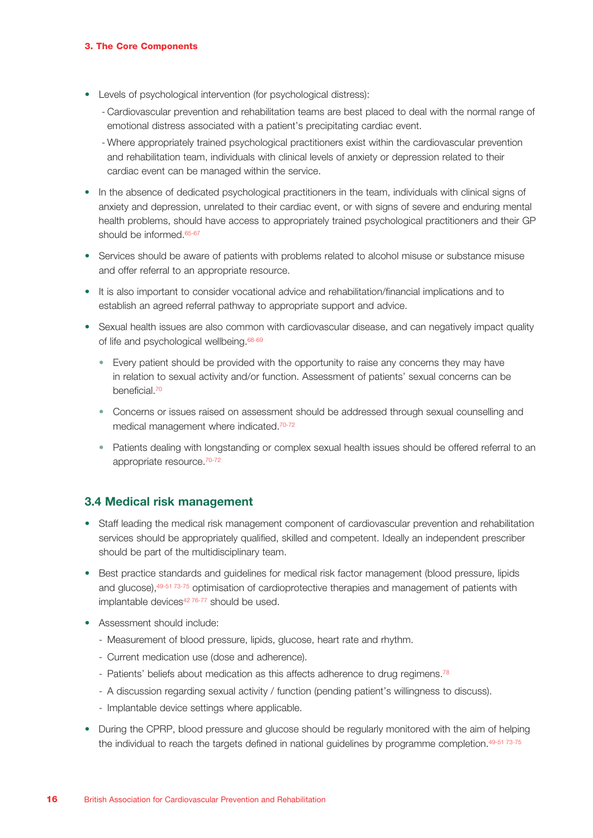#### 3. The Core Components

- Levels of psychological intervention (for psychological distress):
	- Cardiovascular prevention and rehabilitation teams are best placed to deal with the normal range of emotional distress associated with a patient's precipitating cardiac event.
	- Where appropriately trained psychological practitioners exist within the cardiovascular prevention and rehabilitation team, individuals with clinical levels of anxiety or depression related to their cardiac event can be managed within the service.
- In the absence of dedicated psychological practitioners in the team, individuals with clinical signs of anxiety and depression, unrelated to their cardiac event, or with signs of severe and enduring mental health problems, should have access to appropriately trained psychological practitioners and their GP should be informed.<sup>65-67</sup>
- Services should be aware of patients with problems related to alcohol misuse or substance misuse and offer referral to an appropriate resource.
- It is also important to consider vocational advice and rehabilitation/financial implications and to establish an agreed referral pathway to appropriate support and advice.
- Sexual health issues are also common with cardiovascular disease, and can negatively impact quality of life and psychological wellbeing.<sup>68-69</sup>
	- Every patient should be provided with the opportunity to raise any concerns they may have in relation to sexual activity and/or function. Assessment of patients' sexual concerns can be beneficial.70
	- Concerns or issues raised on assessment should be addressed through sexual counselling and medical management where indicated.70-72
	- Patients dealing with longstanding or complex sexual health issues should be offered referral to an appropriate resource.70-72

## **3.4 Medical risk management**

- Staff leading the medical risk management component of cardiovascular prevention and rehabilitation services should be appropriately qualified, skilled and competent. Ideally an independent prescriber should be part of the multidisciplinary team.
- Best practice standards and guidelines for medical risk factor management (blood pressure, lipids and glucose),<sup>49-51 73-75</sup> optimisation of cardioprotective therapies and management of patients with implantable devices<sup>42 76-77</sup> should be used.
- Assessment should include:
	- Measurement of blood pressure, lipids, glucose, heart rate and rhythm.
	- Current medication use (dose and adherence).
	- Patients' beliefs about medication as this affects adherence to drug regimens.<sup>78</sup>
	- A discussion regarding sexual activity / function (pending patient's willingness to discuss).
	- Implantable device settings where applicable.
- During the CPRP, blood pressure and glucose should be regularly monitored with the aim of helping the individual to reach the targets defined in national guidelines by programme completion.<sup>49-51 73-75</sup>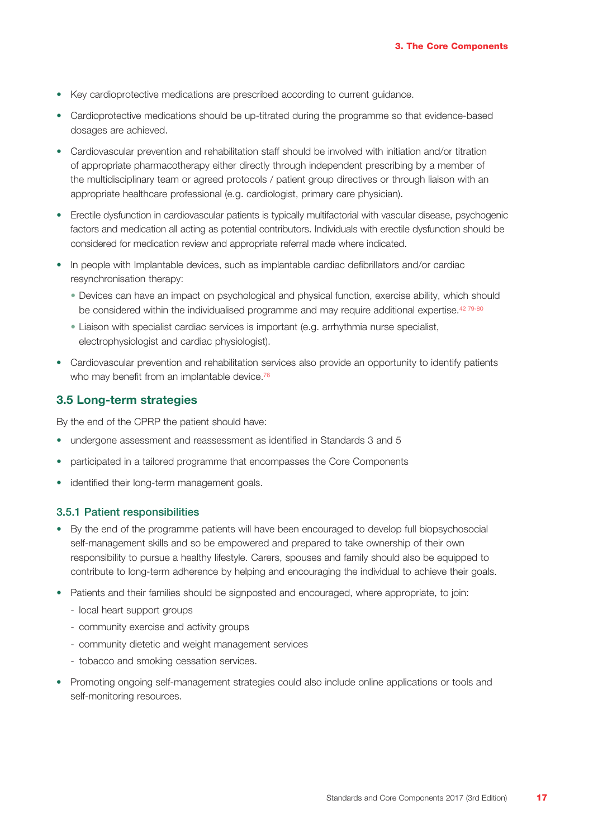- Key cardioprotective medications are prescribed according to current guidance.
- Cardioprotective medications should be up-titrated during the programme so that evidence-based dosages are achieved.
- Cardiovascular prevention and rehabilitation staff should be involved with initiation and/or titration of appropriate pharmacotherapy either directly through independent prescribing by a member of the multidisciplinary team or agreed protocols / patient group directives or through liaison with an appropriate healthcare professional (e.g. cardiologist, primary care physician).
- Erectile dysfunction in cardiovascular patients is typically multifactorial with vascular disease, psychogenic factors and medication all acting as potential contributors. Individuals with erectile dysfunction should be considered for medication review and appropriate referral made where indicated.
- In people with Implantable devices, such as implantable cardiac defibrillators and/or cardiac resynchronisation therapy:
	- Devices can have an impact on psychological and physical function, exercise ability, which should be considered within the individualised programme and may require additional expertise.<sup>42 79-80</sup>
	- Liaison with specialist cardiac services is important (e.g. arrhythmia nurse specialist, electrophysiologist and cardiac physiologist).
- Cardiovascular prevention and rehabilitation services also provide an opportunity to identify patients who may benefit from an implantable device.<sup>76</sup>

### **3.5 Long-term strategies**

By the end of the CPRP the patient should have:

- undergone assessment and reassessment as identified in Standards 3 and 5
- participated in a tailored programme that encompasses the Core Components
- identified their long-term management goals.

#### 3.5.1 Patient responsibilities

- By the end of the programme patients will have been encouraged to develop full biopsychosocial self-management skills and so be empowered and prepared to take ownership of their own responsibility to pursue a healthy lifestyle. Carers, spouses and family should also be equipped to contribute to long-term adherence by helping and encouraging the individual to achieve their goals.
- Patients and their families should be signposted and encouraged, where appropriate, to join:
	- local heart support groups
	- community exercise and activity groups
	- community dietetic and weight management services
	- tobacco and smoking cessation services.
- Promoting ongoing self-management strategies could also include online applications or tools and self-monitoring resources.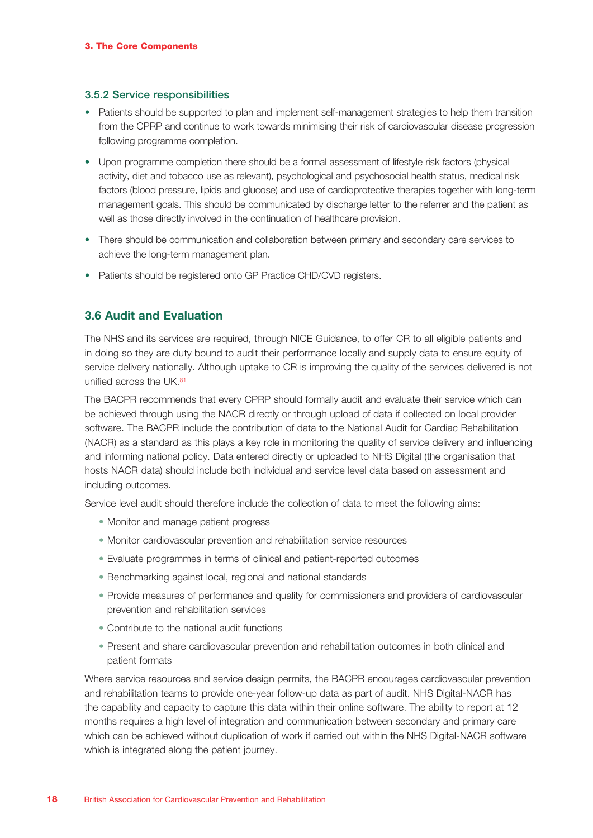#### 3.5.2 Service responsibilities

- Patients should be supported to plan and implement self-management strategies to help them transition from the CPRP and continue to work towards minimising their risk of cardiovascular disease progression following programme completion.
- Upon programme completion there should be a formal assessment of lifestyle risk factors (physical activity, diet and tobacco use as relevant), psychological and psychosocial health status, medical risk factors (blood pressure, lipids and glucose) and use of cardioprotective therapies together with long-term management goals. This should be communicated by discharge letter to the referrer and the patient as well as those directly involved in the continuation of healthcare provision.
- There should be communication and collaboration between primary and secondary care services to achieve the long-term management plan.
- Patients should be registered onto GP Practice CHD/CVD registers.

## **3.6 Audit and Evaluation**

The NHS and its services are required, through NICE Guidance, to offer CR to all eligible patients and in doing so they are duty bound to audit their performance locally and supply data to ensure equity of service delivery nationally. Although uptake to CR is improving the quality of the services delivered is not unified across the UK.<sup>81</sup>

The BACPR recommends that every CPRP should formally audit and evaluate their service which can be achieved through using the NACR directly or through upload of data if collected on local provider software. The BACPR include the contribution of data to the National Audit for Cardiac Rehabilitation (NACR) as a standard as this plays a key role in monitoring the quality of service delivery and influencing and informing national policy. Data entered directly or uploaded to NHS Digital (the organisation that hosts NACR data) should include both individual and service level data based on assessment and including outcomes.

Service level audit should therefore include the collection of data to meet the following aims:

- Monitor and manage patient progress
- Monitor cardiovascular prevention and rehabilitation service resources
- Evaluate programmes in terms of clinical and patient-reported outcomes
- Benchmarking against local, regional and national standards
- Provide measures of performance and quality for commissioners and providers of cardiovascular prevention and rehabilitation services
- Contribute to the national audit functions
- Present and share cardiovascular prevention and rehabilitation outcomes in both clinical and patient formats

Where service resources and service design permits, the BACPR encourages cardiovascular prevention and rehabilitation teams to provide one-year follow-up data as part of audit. NHS Digital-NACR has the capability and capacity to capture this data within their online software. The ability to report at 12 months requires a high level of integration and communication between secondary and primary care which can be achieved without duplication of work if carried out within the NHS Digital-NACR software which is integrated along the patient journey.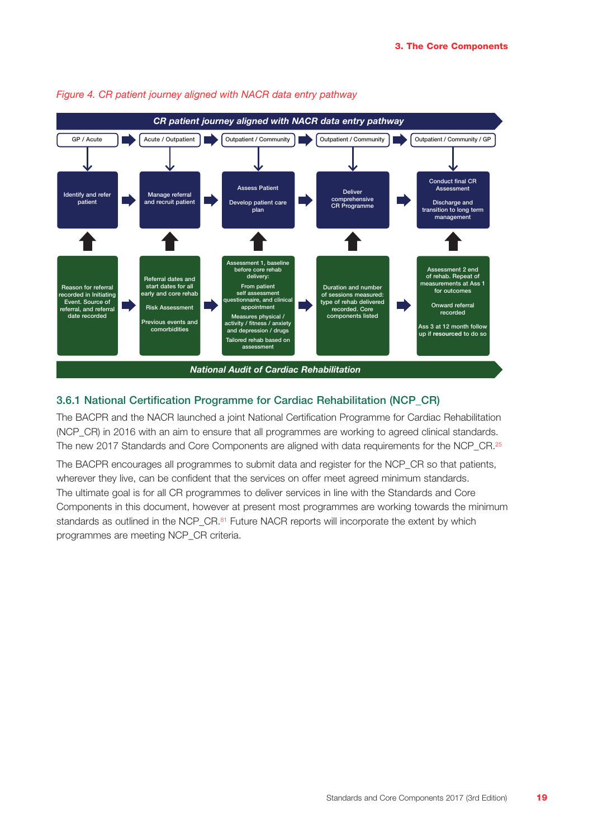

#### *Figure 4. CR patient journey aligned with NACR data entry pathway*

#### 3.6.1 National Certification Programme for Cardiac Rehabilitation (NCP\_CR)

The BACPR and the NACR launched a joint National Certification Programme for Cardiac Rehabilitation (NCP\_CR) in 2016 with an aim to ensure that all programmes are working to agreed clinical standards. The new 2017 Standards and Core Components are aligned with data requirements for the NCP\_CR.<sup>25</sup>

The BACPR encourages all programmes to submit data and register for the NCP\_CR so that patients, wherever they live, can be confident that the services on offer meet agreed minimum standards. The ultimate goal is for all CR programmes to deliver services in line with the Standards and Core Components in this document, however at present most programmes are working towards the minimum standards as outlined in the NCP\_CR.<sup>81</sup> Future NACR reports will incorporate the extent by which programmes are meeting NCP\_CR criteria.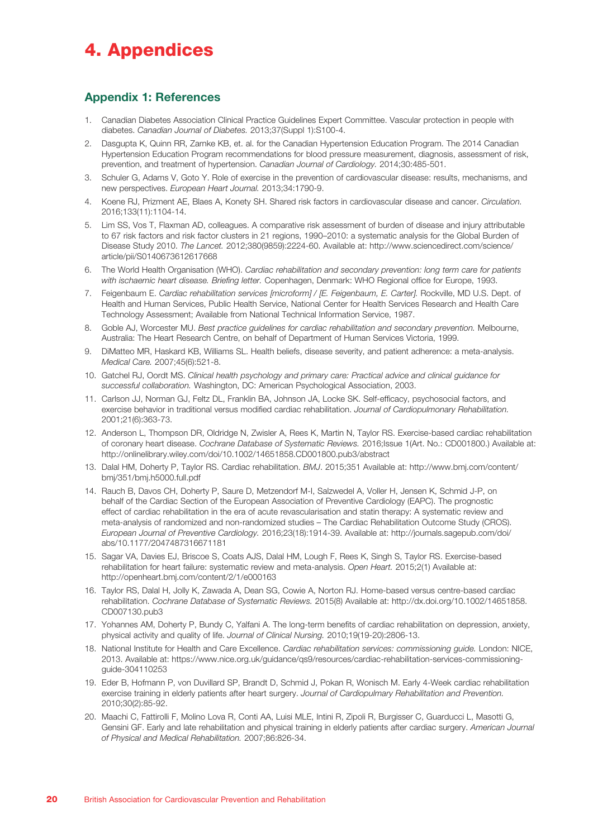## 4. Appendices

## **Appendix 1: References**

- 1. Canadian Diabetes Association Clinical Practice Guidelines Expert Committee. Vascular protection in people with diabetes. *Canadian Journal of Diabetes.* 2013;37(Suppl 1):S100-4.
- 2. Dasgupta K, Quinn RR, Zarnke KB, et. al. for the Canadian Hypertension Education Program. The 2014 Canadian Hypertension Education Program recommendations for blood pressure measurement, diagnosis, assessment of risk, prevention, and treatment of hypertension. *Canadian Journal of Cardiology.* 2014;30:485-501.
- 3. Schuler G, Adams V, Goto Y. Role of exercise in the prevention of cardiovascular disease: results, mechanisms, and new perspectives. *European Heart Journal.* 2013;34:1790-9.
- 4. Koene RJ, Prizment AE, Blaes A, Konety SH. Shared risk factors in cardiovascular disease and cancer. *Circulation.* 2016;133(11):1104-14.
- 5. Lim SS, Vos T, Flaxman AD, colleagues. A comparative risk assessment of burden of disease and injury attributable to 67 risk factors and risk factor clusters in 21 regions, 1990–2010: a systematic analysis for the Global Burden of Disease Study 2010. *The Lancet.* 2012;380(9859):2224-60. Available at: http://www.sciencedirect.com/science/ article/pii/S0140673612617668
- 6. The World Health Organisation (WHO). *Cardiac rehabilitation and secondary prevention: long term care for patients with ischaemic heart disease. Briefing letter.* Copenhagen, Denmark: WHO Regional office for Europe, 1993.
- 7. Feigenbaum E. *Cardiac rehabilitation services [microform] / [E. Feigenbaum, E. Carter].* Rockville, MD U.S. Dept. of Health and Human Services, Public Health Service, National Center for Health Services Research and Health Care Technology Assessment; Available from National Technical Information Service, 1987.
- 8. Goble AJ, Worcester MU. *Best practice guidelines for cardiac rehabilitation and secondary prevention.* Melbourne, Australia: The Heart Research Centre, on behalf of Department of Human Services Victoria, 1999.
- 9. DiMatteo MR, Haskard KB, Williams SL. Health beliefs, disease severity, and patient adherence: a meta-analysis. *Medical Care.* 2007;45(6):521-8.
- 10. Gatchel RJ, Oordt MS. *Clinical health psychology and primary care: Practical advice and clinical guidance for successful collaboration.* Washington, DC: American Psychological Association, 2003.
- 11. Carlson JJ, Norman GJ, Feltz DL, Franklin BA, Johnson JA, Locke SK. Self-efficacy, psychosocial factors, and exercise behavior in traditional versus modified cardiac rehabilitation. *Journal of Cardiopulmonary Rehabilitation.* 2001;21(6):363-73.
- 12. Anderson L, Thompson DR, Oldridge N, Zwisler A, Rees K, Martin N, Taylor RS. Exercise-based cardiac rehabilitation of coronary heart disease. *Cochrane Database of Systematic Reviews.* 2016;Issue 1(Art. No.: CD001800.) Available at: http://onlinelibrary.wiley.com/doi/10.1002/14651858.CD001800.pub3/abstract
- 13. Dalal HM, Doherty P, Taylor RS. Cardiac rehabilitation. *BMJ*. 2015;351 Available at: http://www.bmj.com/content/ bmj/351/bmj.h5000.full.pdf
- 14. Rauch B, Davos CH, Doherty P, Saure D, Metzendorf M-I, Salzwedel A, Voller H, Jensen K, Schmid J-P, on behalf of the Cardiac Section of the European Association of Preventive Cardiology (EAPC). The prognostic effect of cardiac rehabilitation in the era of acute revascularisation and statin therapy: A systematic review and meta-analysis of randomized and non-randomized studies – The Cardiac Rehabilitation Outcome Study (CROS). *European Journal of Preventive Cardiology.* 2016;23(18):1914-39. Available at: http://journals.sagepub.com/doi/ abs/10.1177/2047487316671181
- 15. Sagar VA, Davies EJ, Briscoe S, Coats AJS, Dalal HM, Lough F, Rees K, Singh S, Taylor RS. Exercise-based rehabilitation for heart failure: systematic review and meta-analysis. *Open Heart.* 2015;2(1) Available at: http://openheart.bmj.com/content/2/1/e000163
- 16. Taylor RS, Dalal H, Jolly K, Zawada A, Dean SG, Cowie A, Norton RJ. Home-based versus centre-based cardiac rehabilitation. *Cochrane Database of Systematic Reviews.* 2015(8) Available at: http://dx.doi.org/10.1002/14651858. CD007130.pub3
- 17. Yohannes AM, Doherty P, Bundy C, Yalfani A. The long-term benefits of cardiac rehabilitation on depression, anxiety, physical activity and quality of life. *Journal of Clinical Nursing.* 2010;19(19-20):2806-13.
- 18. National Institute for Health and Care Excellence. *Cardiac rehabilitation services: commissioning guide.* London: NICE, 2013. Available at: https://www.nice.org.uk/guidance/qs9/resources/cardiac-rehabilitation-services-commissioningguide-304110253
- 19. Eder B, Hofmann P, von Duvillard SP, Brandt D, Schmid J, Pokan R, Wonisch M. Early 4-Week cardiac rehabilitation exercise training in elderly patients after heart surgery. *Journal of Cardiopulmary Rehabilitation and Prevention.* 2010;30(2):85-92.
- 20. Maachi C, Fattirolli F, Molino Lova R, Conti AA, Luisi MLE, Intini R, Zipoli R, Burgisser C, Guarducci L, Masotti G, Gensini GF. Early and late rehabilitation and physical training in elderly patients after cardiac surgery. *American Journal of Physical and Medical Rehabilitation.* 2007;86:826-34.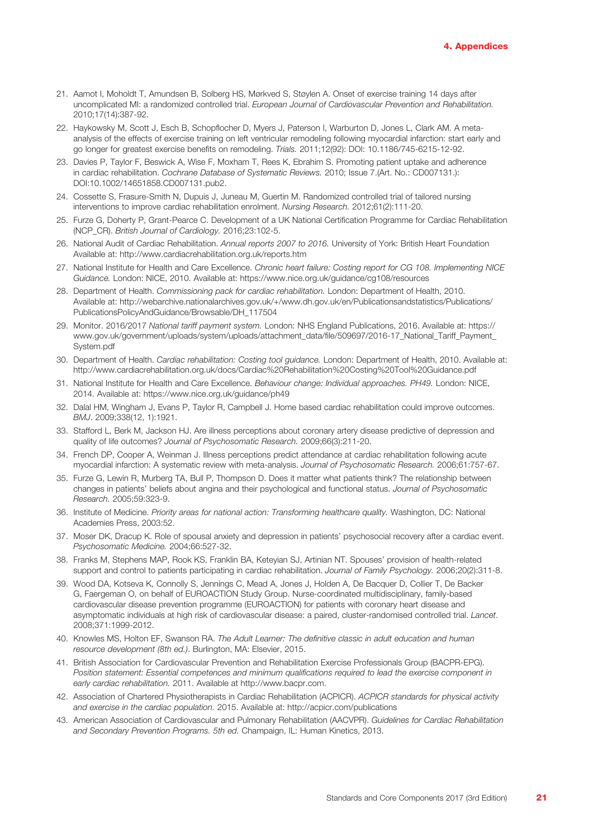- 21. Aamot I, Moholdt T, Amundsen B, Solberg HS, Mørkved S, Støylen A. Onset of exercise training 14 days after uncomplicated MI: a randomized controlled trial. *European Journal of Cardiovascular Prevention and Rehabilitation.* 2010;17(14):387-92.
- 22. Haykowsky M, Scott J, Esch B, Schopflocher D, Myers J, Paterson I, Warburton D, Jones L, Clark AM. A metaanalysis of the effects of exercise training on left ventricular remodeling following myocardial infarction: start early and go longer for greatest exercise benefits on remodeling. *Trials.* 2011;12(92): DOI: 10.1186/745-6215-12-92.
- 23. Davies P, Taylor F, Beswick A, Wise F, Moxham T, Rees K, Ebrahim S. Promoting patient uptake and adherence in cardiac rehabilitation. *Cochrane Database of Systematic Reviews.* 2010; Issue 7.(Art. No.: CD007131.): DOI:10.1002/14651858.CD007131.pub2.
- 24. Cossette S, Frasure-Smith N, Dupuis J, Juneau M, Guertin M. Randomized controlled trial of tailored nursing interventions to improve cardiac rehabilitation enrolment. *Nursing Research.* 2012;61(2):111-20.
- 25. Furze G, Doherty P, Grant-Pearce C. Development of a UK National Certification Programme for Cardiac Rehabilitation (NCP\_CR). *British Journal of Cardiology.* 2016;23:102-5.
- 26. National Audit of Cardiac Rehabilitation. *Annual reports 2007 to 2016.* University of York: British Heart Foundation Available at: http://www.cardiacrehabilitation.org.uk/reports.htm
- 27. National Institute for Health and Care Excellence. *Chronic heart failure: Costing report for CG 108. Implementing NICE Guidance.* London: NICE, 2010. Available at: https://www.nice.org.uk/guidance/cg108/resources
- 28. Department of Health. *Commissioning pack for cardiac rehabilitation.* London: Department of Health, 2010. Available at: http://webarchive.nationalarchives.gov.uk/+/www.dh.gov.uk/en/Publicationsandstatistics/Publications/ PublicationsPolicyAndGuidance/Browsable/DH\_117504
- 29. Monitor. 2016/2017 *National tariff payment system.* London: NHS England Publications, 2016. Available at: https:// www.gov.uk/government/uploads/system/uploads/attachment\_data/file/509697/2016-17\_National\_Tariff\_Payment System.pdf
- 30. Department of Health. *Cardiac rehabilitation: Costing tool guidance.* London: Department of Health, 2010. Available at: http://www.cardiacrehabilitation.org.uk/docs/Cardiac%20Rehabilitation%20Costing%20Tool%20Guidance.pdf
- 31. National Institute for Health and Care Excellence. *Behaviour change: Individual approaches. PH49.* London: NICE, 2014. Available at: https://www.nice.org.uk/guidance/ph49
- 32. Dalal HM, Wingham J, Evans P, Taylor R, Campbell J. Home based cardiac rehabilitation could improve outcomes. *BMJ*. 2009;338(12, 1):1921.
- 33. Stafford L, Berk M, Jackson HJ. Are illness perceptions about coronary artery disease predictive of depression and quality of life outcomes? *Journal of Psychosomatic Research.* 2009;66(3):211-20.
- 34. French DP, Cooper A, Weinman J. Illness perceptions predict attendance at cardiac rehabilitation following acute myocardial infarction: A systematic review with meta-analysis. *Journal of Psychosomatic Research.* 2006;61:757-67.
- 35. Furze G, Lewin R, Murberg TA, Bull P, Thompson D. Does it matter what patients think? The relationship between changes in patients' beliefs about angina and their psychological and functional status. *Journal of Psychosomatic Research.* 2005;59:323-9.
- 36. Institute of Medicine. *Priority areas for national action: Transforming healthcare quality.* Washington, DC: National Academies Press, 2003:52.
- 37. Moser DK, Dracup K. Role of spousal anxiety and depression in patients' psychosocial recovery after a cardiac event. *Psychosomatic Medicine.* 2004;66:527-32.
- 38. Franks M, Stephens MAP, Rook KS, Franklin BA, Keteyian SJ, Artinian NT. Spouses' provision of health-related support and control to patients participating in cardiac rehabilitation. *Journal of Family Psychology.* 2006;20(2):311-8.
- 39. Wood DA, Kotseva K, Connolly S, Jennings C, Mead A, Jones J, Holden A, De Bacquer D, Collier T, De Backer G, Faergeman O, on behalf of EUROACTION Study Group. Nurse-coordinated multidisciplinary, family-based cardiovascular disease prevention programme (EUROACTION) for patients with coronary heart disease and asymptomatic individuals at high risk of cardiovascular disease: a paired, cluster-randomised controlled trial. *Lancet*. 2008;371:1999-2012.
- 40. Knowles MS, Holton EF, Swanson RA. *The Adult Learner: The definitive classic in adult education and human resource development (8th ed.)*. Burlington, MA: Elsevier, 2015.
- 41. British Association for Cardiovascular Prevention and Rehabilitation Exercise Professionals Group (BACPR-EPG). *Position statement: Essential competences and minimum qualifications required to lead the exercise component in early cardiac rehabilitation.* 2011. Available at http://www.bacpr.com.
- 42. Association of Chartered Physiotherapists in Cardiac Rehabilitation (ACPICR). *ACPICR standards for physical activity and exercise in the cardiac population.* 2015. Available at: http://acpicr.com/publications
- 43. American Association of Cardiovascular and Pulmonary Rehabilitation (AACVPR). *Guidelines for Cardiac Rehabilitation and Secondary Prevention Programs. 5th ed.* Champaign, IL: Human Kinetics, 2013.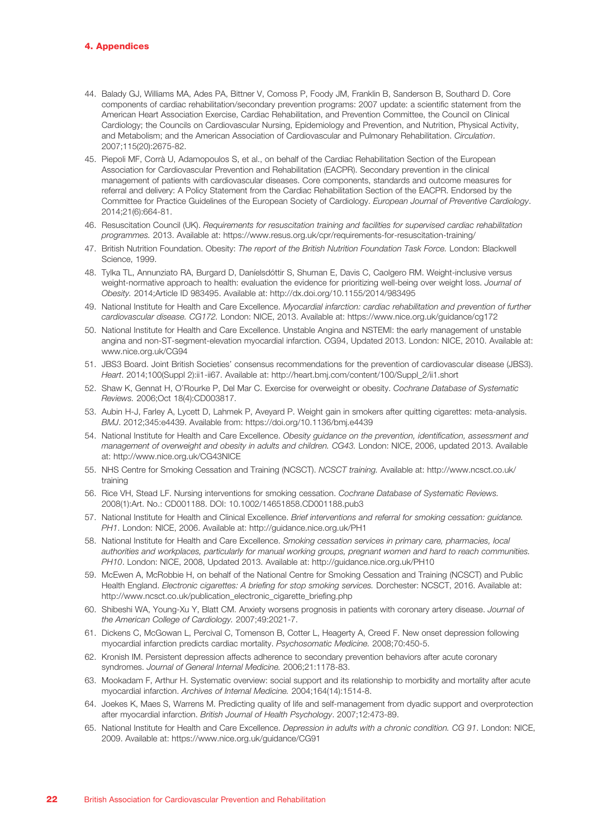- 44. Balady GJ, Williams MA, Ades PA, Bittner V, Comoss P, Foody JM, Franklin B, Sanderson B, Southard D. Core components of cardiac rehabilitation/secondary prevention programs: 2007 update: a scientific statement from the American Heart Association Exercise, Cardiac Rehabilitation, and Prevention Committee, the Council on Clinical Cardiology; the Councils on Cardiovascular Nursing, Epidemiology and Prevention, and Nutrition, Physical Activity, and Metabolism; and the American Association of Cardiovascular and Pulmonary Rehabilitation. *Circulation*. 2007;115(20):2675-82.
- 45. Piepoli MF, Corrà U, Adamopoulos S, et al., on behalf of the Cardiac Rehabilitation Section of the European Association for Cardiovascular Prevention and Rehabilitation (EACPR). Secondary prevention in the clinical management of patients with cardiovascular diseases. Core components, standards and outcome measures for referral and delivery: A Policy Statement from the Cardiac Rehabilitation Section of the EACPR. Endorsed by the Committee for Practice Guidelines of the European Society of Cardiology. *European Journal of Preventive Cardiology*. 2014;21(6):664-81.
- 46. Resuscitation Council (UK). *Requirements for resuscitation training and facilities for supervised cardiac rehabilitation programmes.* 2013. Available at: https://www.resus.org.uk/cpr/requirements-for-resuscitation-training/
- 47. British Nutrition Foundation. Obesity: *The report of the British Nutrition Foundation Task Force.* London: Blackwell Science, 1999.
- 48. Tylka TL, Annunziato RA, Burgard D, Daníelsdóttir S, Shuman E, Davis C, Caolgero RM. Weight-inclusive versus weight-normative approach to health: evaluation the evidence for prioritizing well-being over weight loss. *Journal of Obesity.* 2014;Article ID 983495. Available at: http://dx.doi.org/10.1155/2014/983495
- 49. National Institute for Health and Care Excellence. *Myocardial infarction: cardiac rehabilitation and prevention of further cardiovascular disease. CG172.* London: NICE, 2013. Available at: https://www.nice.org.uk/guidance/cg172
- 50. National Institute for Health and Care Excellence. Unstable Angina and NSTEMI: the early management of unstable angina and non-ST-segment-elevation myocardial infarction. CG94, Updated 2013. London: NICE, 2010. Available at: www.nice.org.uk/CG94
- 51. JBS3 Board. Joint British Societies' consensus recommendations for the prevention of cardiovascular disease (JBS3). *Heart*. 2014;100(Suppl 2):ii1-ii67. Available at: http://heart.bmj.com/content/100/Suppl\_2/ii1.short
- 52. Shaw K, Gennat H, O'Rourke P, Del Mar C. Exercise for overweight or obesity. *Cochrane Database of Systematic Reviews.* 2006;Oct 18(4):CD003817.
- 53. Aubin H-J, Farley A, Lycett D, Lahmek P, Aveyard P. Weight gain in smokers after quitting cigarettes: meta-analysis. *BMJ*. 2012;345:e4439. Available from: https://doi.org/10.1136/bmj.e4439
- 54. National Institute for Health and Care Excellence. *Obesity guidance on the prevention, identification, assessment and management of overweight and obesity in adults and children. CG43.* London: NICE, 2006, updated 2013. Available at: http://www.nice.org.uk/CG43NICE
- 55. NHS Centre for Smoking Cessation and Training (NCSCT). *NCSCT training.* Available at: http://www.ncsct.co.uk/ training
- 56. Rice VH, Stead LF. Nursing interventions for smoking cessation. *Cochrane Database of Systematic Reviews.* 2008(1):Art. No.: CD001188. DOI: 10.1002/14651858.CD001188.pub3
- 57. National Institute for Health and Clinical Excellence. *Brief interventions and referral for smoking cessation: guidance. PH1*. London: NICE, 2006. Available at: http://guidance.nice.org.uk/PH1
- 58. National Institute for Health and Care Excellence. *Smoking cessation services in primary care, pharmacies, local authorities and workplaces, particularly for manual working groups, pregnant women and hard to reach communities. PH10*. London: NICE, 2008, Updated 2013. Available at: http://guidance.nice.org.uk/PH10
- 59. McEwen A, McRobbie H, on behalf of the National Centre for Smoking Cessation and Training (NCSCT) and Public Health England. *Electronic cigarettes: A briefing for stop smoking services.* Dorchester: NCSCT, 2016. Available at: http://www.ncsct.co.uk/publication\_electronic\_cigarette\_briefing.php
- 60. Shibeshi WA, Young-Xu Y, Blatt CM. Anxiety worsens prognosis in patients with coronary artery disease. *Journal of the American College of Cardiology.* 2007;49:2021-7.
- 61. Dickens C, McGowan L, Percival C, Tomenson B, Cotter L, Heagerty A, Creed F. New onset depression following myocardial infarction predicts cardiac mortality. *Psychosomatic Medicine.* 2008;70:450-5.
- 62. Kronish IM. Persistent depression affects adherence to secondary prevention behaviors after acute coronary syndromes. *Journal of General Internal Medicine.* 2006;21:1178-83.
- 63. Mookadam F, Arthur H. Systematic overview: social support and its relationship to morbidity and mortality after acute myocardial infarction. *Archives of Internal Medicine.* 2004;164(14):1514-8.
- 64. Joekes K, Maes S, Warrens M. Predicting quality of life and self-management from dyadic support and overprotection after myocardial infarction. *British Journal of Health Psychology*. 2007;12:473-89.
- 65. National Institute for Health and Care Excellence. *Depression in adults with a chronic condition. CG 91*. London: NICE, 2009. Available at: https://www.nice.org.uk/guidance/CG91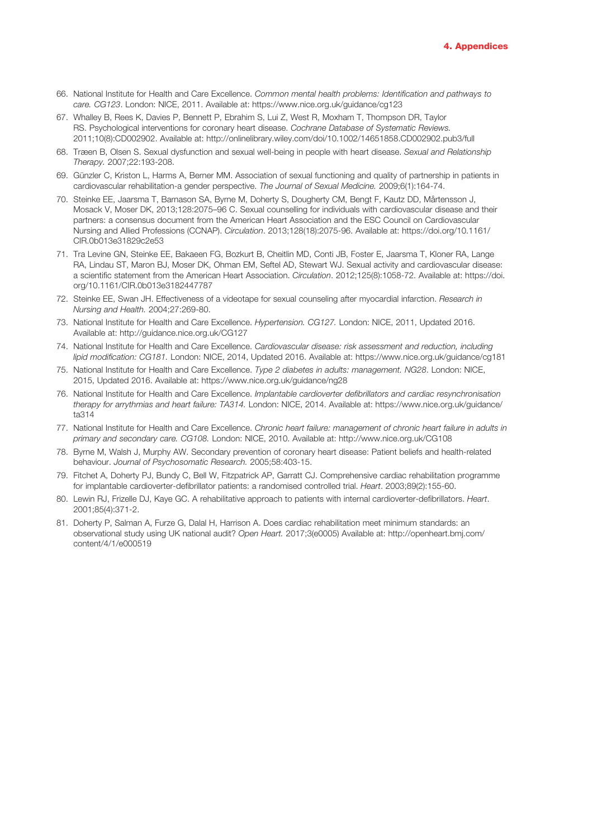- 66. National Institute for Health and Care Excellence. *Common mental health problems: Identification and pathways to care. CG123*. London: NICE, 2011. Available at: https://www.nice.org.uk/guidance/cg123
- 67. Whalley B, Rees K, Davies P, Bennett P, Ebrahim S, Lui Z, West R, Moxham T, Thompson DR, Taylor RS. Psychological interventions for coronary heart disease. *Cochrane Database of Systematic Reviews.*  2011;10(8):CD002902. Available at: http://onlinelibrary.wiley.com/doi/10.1002/14651858.CD002902.pub3/full
- 68. Træen B, Olsen S. Sexual dysfunction and sexual well-being in people with heart disease. *Sexual and Relationship Therapy.* 2007;22:193-208.
- 69. Günzler C, Kriston L, Harms A, Berner MM. Association of sexual functioning and quality of partnership in patients in cardiovascular rehabilitation-a gender perspective. *The Journal of Sexual Medicine.* 2009;6(1):164-74.
- 70. Steinke EE, Jaarsma T, Barnason SA, Byrne M, Doherty S, Dougherty CM, Bengt F, Kautz DD, Mårtensson J, Mosack V, Moser DK, 2013;128:2075–96 C. Sexual counselling for individuals with cardiovascular disease and their partners: a consensus document from the American Heart Association and the ESC Council on Cardiovascular Nursing and Allied Professions (CCNAP). *Circulation*. 2013;128(18):2075-96. Available at: https://doi.org/10.1161/ CIR.0b013e31829c2e53
- 71. Tra Levine GN, Steinke EE, Bakaeen FG, Bozkurt B, Cheitlin MD, Conti JB, Foster E, Jaarsma T, Kloner RA, Lange RA, Lindau ST, Maron BJ, Moser DK, Ohman EM, Seftel AD, Stewart WJ. Sexual activity and cardiovascular disease: a scientific statement from the American Heart Association. *Circulation*. 2012;125(8):1058-72. Available at: https://doi. org/10.1161/CIR.0b013e3182447787
- 72. Steinke EE, Swan JH. Effectiveness of a videotape for sexual counseling after myocardial infarction. *Research in Nursing and Health.* 2004;27:269-80.
- 73. National Institute for Health and Care Excellence. *Hypertension. CG127.* London: NICE, 2011, Updated 2016. Available at: http://guidance.nice.org.uk/CG127
- 74. National Institute for Health and Care Excellence. *Cardiovascular disease: risk assessment and reduction, including lipid modification: CG181.* London: NICE, 2014, Updated 2016. Available at: https://www.nice.org.uk/guidance/cg181
- 75. National Institute for Health and Care Excellence. *Type 2 diabetes in adults: management. NG28*. London: NICE, 2015, Updated 2016. Available at: https://www.nice.org.uk/guidance/ng28
- 76. National Institute for Health and Care Excellence. *Implantable cardioverter defibrillators and cardiac resynchronisation therapy for arrythmias and heart failure: TA314.* London: NICE, 2014. Available at: https://www.nice.org.uk/guidance/ ta314
- 77. National Institute for Health and Care Excellence. *Chronic heart failure: management of chronic heart failure in adults in primary and secondary care. CG108.* London: NICE, 2010. Available at: http://www.nice.org.uk/CG108
- 78. Byrne M, Walsh J, Murphy AW. Secondary prevention of coronary heart disease: Patient beliefs and health-related behaviour. *Journal of Psychosomatic Research.* 2005;58:403-15.
- 79. Fitchet A, Doherty PJ, Bundy C, Bell W, Fitzpatrick AP, Garratt CJ. Comprehensive cardiac rehabilitation programme for implantable cardioverter-defibrillator patients: a randomised controlled trial. *Heart*. 2003;89(2):155-60.
- 80. Lewin RJ, Frizelle DJ, Kaye GC. A rehabilitative approach to patients with internal cardioverter-defibrillators. *Heart*. 2001;85(4):371-2.
- 81. Doherty P, Salman A, Furze G, Dalal H, Harrison A. Does cardiac rehabilitation meet minimum standards: an observational study using UK national audit? *Open Heart.* 2017;3(e0005) Available at: http://openheart.bmj.com/ content/4/1/e000519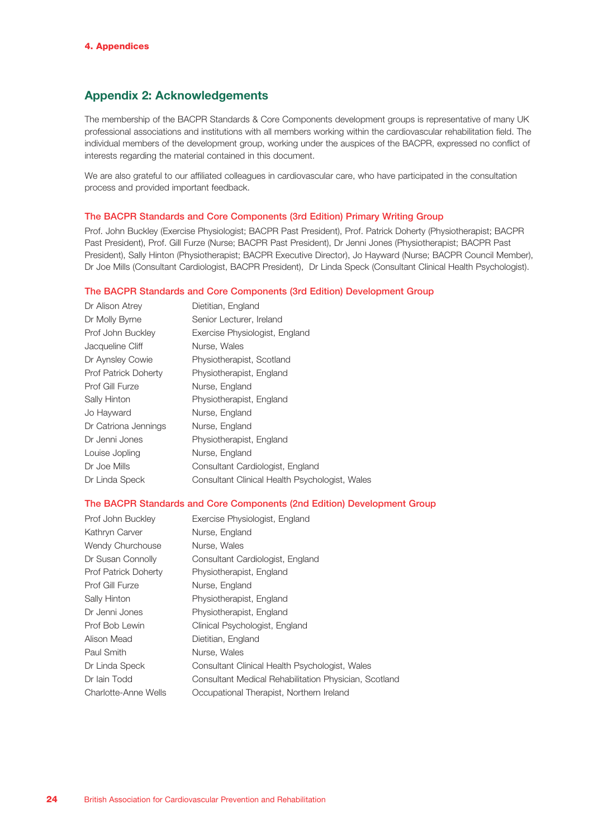## **Appendix 2: Acknowledgements**

The membership of the BACPR Standards & Core Components development groups is representative of many UK professional associations and institutions with all members working within the cardiovascular rehabilitation field. The individual members of the development group, working under the auspices of the BACPR, expressed no conflict of interests regarding the material contained in this document.

We are also grateful to our affiliated colleagues in cardiovascular care, who have participated in the consultation process and provided important feedback.

#### The BACPR Standards and Core Components (3rd Edition) Primary Writing Group

Prof. John Buckley (Exercise Physiologist; BACPR Past President), Prof. Patrick Doherty (Physiotherapist; BACPR Past President), Prof. Gill Furze (Nurse; BACPR Past President), Dr Jenni Jones (Physiotherapist; BACPR Past President), Sally Hinton (Physiotherapist; BACPR Executive Director), Jo Hayward (Nurse; BACPR Council Member), Dr Joe Mills (Consultant Cardiologist, BACPR President), Dr Linda Speck (Consultant Clinical Health Psychologist).

#### The BACPR Standards and Core Components (3rd Edition) Development Group

| Dr Alison Atrey      | Dietitian, England                             |
|----------------------|------------------------------------------------|
| Dr Molly Byrne       | Senior Lecturer, Ireland                       |
| Prof John Buckley    | Exercise Physiologist, England                 |
| Jacqueline Cliff     | Nurse, Wales                                   |
| Dr Aynsley Cowie     | Physiotherapist, Scotland                      |
| Prof Patrick Doherty | Physiotherapist, England                       |
| Prof Gill Furze      | Nurse, England                                 |
| Sally Hinton         | Physiotherapist, England                       |
| Jo Hayward           | Nurse, England                                 |
| Dr Catriona Jennings | Nurse, England                                 |
| Dr Jenni Jones       | Physiotherapist, England                       |
| Louise Jopling       | Nurse, England                                 |
| Dr Joe Mills         | Consultant Cardiologist, England               |
| Dr Linda Speck       | Consultant Clinical Health Psychologist, Wales |

#### The BACPR Standards and Core Components (2nd Edition) Development Group

| Prof John Buckley           | Exercise Physiologist, England                        |
|-----------------------------|-------------------------------------------------------|
| Kathryn Carver              | Nurse, England                                        |
| Wendy Churchouse            | Nurse, Wales                                          |
| Dr Susan Connolly           | Consultant Cardiologist, England                      |
| Prof Patrick Doherty        | Physiotherapist, England                              |
| Prof Gill Furze             | Nurse, England                                        |
| Sally Hinton                | Physiotherapist, England                              |
| Dr Jenni Jones              | Physiotherapist, England                              |
| Prof Bob Lewin              | Clinical Psychologist, England                        |
| Alison Mead                 | Dietitian, England                                    |
| Paul Smith                  | Nurse, Wales                                          |
| Dr Linda Speck              | Consultant Clinical Health Psychologist, Wales        |
| Dr Iain Todd                | Consultant Medical Rehabilitation Physician, Scotland |
| <b>Charlotte-Anne Wells</b> | Occupational Therapist, Northern Ireland              |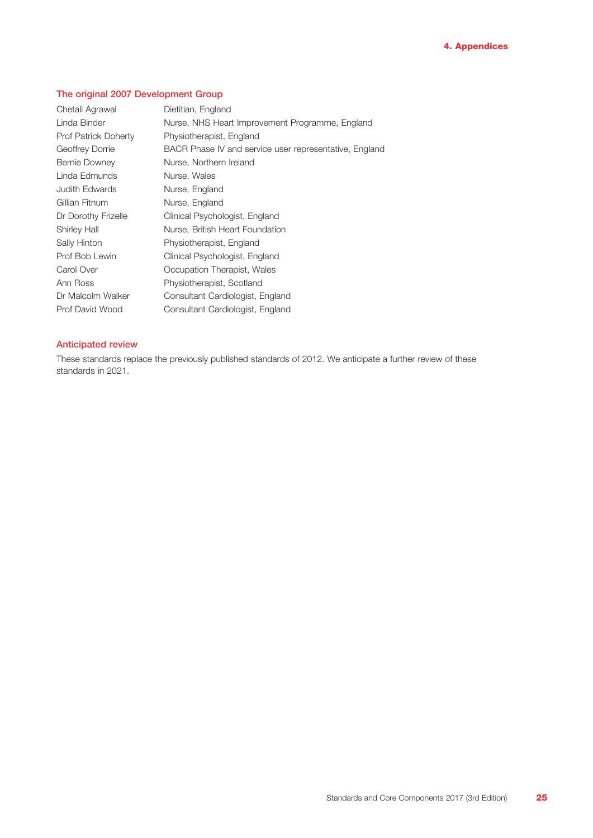#### The original 2007 Development Group

| Chetali Agrawal       | Dietitian, England                                     |
|-----------------------|--------------------------------------------------------|
| Linda Binder          | Nurse, NHS Heart Improvement Programme, England        |
| Prof Patrick Doherty  | Physiotherapist, England                               |
| Geoffrey Dorrie       | BACR Phase IV and service user representative, England |
| Bernie Downey         | Nurse, Northern Ireland                                |
| Linda Edmunds         | Nurse, Wales                                           |
| <b>Judith Edwards</b> | Nurse, England                                         |
| Gillian Fitnum        | Nurse, England                                         |
| Dr Dorothy Frizelle   | Clinical Psychologist, England                         |
| <b>Shirley Hall</b>   | Nurse, British Heart Foundation                        |
| Sally Hinton          | Physiotherapist, England                               |
| Prof Bob Lewin        | Clinical Psychologist, England                         |
| Carol Over            | Occupation Therapist, Wales                            |
| Ann Ross              | Physiotherapist, Scotland                              |
| Dr Malcolm Walker     | Consultant Cardiologist, England                       |
| Prof David Wood       | Consultant Cardiologist, England                       |

#### Anticipated review

These standards replace the previously published standards of 2012. We anticipate a further review of these standards in 2021.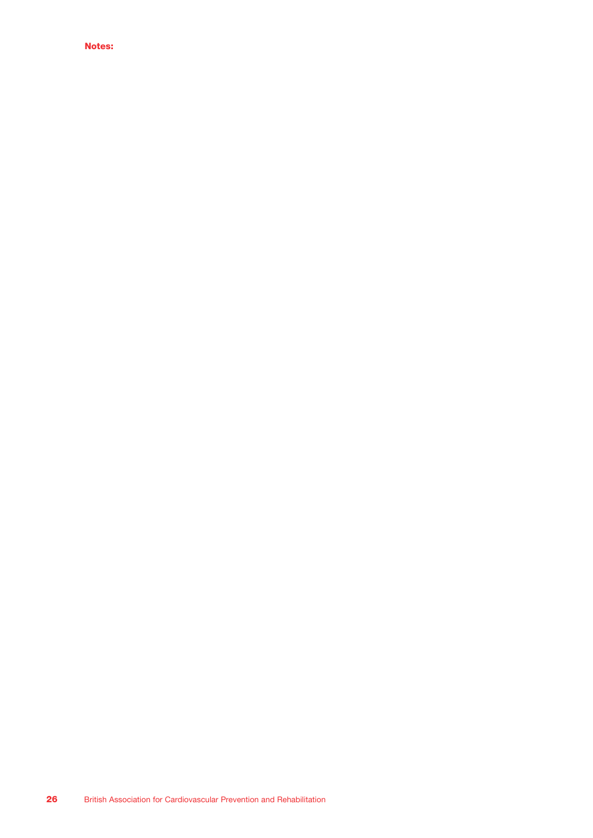#### Notes: